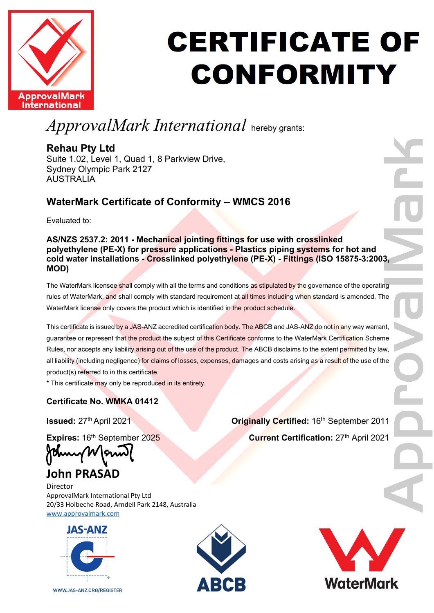

#### **CERTIFICATE OF CONFORMITY**

#### *ApprovalMark International* hereby grants:

#### **Rehau Pty Ltd**

Suite 1.02, Level 1, Quad 1, 8 Parkview Drive, Sydney Olympic Park 2127 AUSTRALIA

#### **WaterMark Certificate of Conformity – WMCS 2016**

Evaluated to:

**AS/NZS 2537.2: 2011 - Mechanical jointing fittings for use with crosslinked polyethylene (PE-X) for pressure applications - Plastics piping systems for hot and cold water installations - Crosslinked polyethylene (PE-X) - Fittings (ISO 15875-3:2003, MOD)**

The WaterMark licensee shall comply with all the terms and conditions as stipulated by the governance of the operating rules of WaterMark, and shall comply with standard requirement at all times including when standard is amended. The WaterMark license only covers the product which is identified in the product schedule.

This certificate is issued by a JAS-ANZ accredited certification body. The ABCB and JAS-ANZ do not in any way warrant, guarantee or represent that the product the subject of this Certificate conforms to the WaterMark Certification Scheme Rules, nor accepts any liability arising out of the use of the product. The ABCB disclaims to the extent permitted by law, all liability (including negligence) for claims of losses, expenses, damages and costs arising as a result of the use of the product(s) referred to in this certificate.

\* This certificate may only be reproduced in its entirety.

#### **Certificate No. WMKA 01412**

**Issued:** 27th April 2021 **Originally Certified:** 16th September 2011

**Expires:** 16<sup>th</sup> September 2025 Current Certification: 27<sup>th</sup> April 2021

**John PRASAD**

Director ApprovalMark International Pty Ltd 20/33 Holbeche Road, Arndell Park 2148, Australia [www.approvalmark.com](http://www.approvalmark.com/)



WWW.JAS-ANZ.ORG/REGISTER



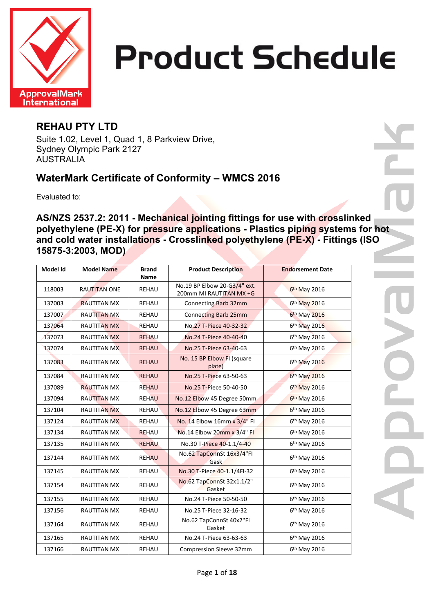

#### **REHAU PTY LTD**

Suite 1.02, Level 1, Quad 1, 8 Parkview Drive, Sydney Olympic Park 2127 AUSTRALIA

#### **WaterMark Certificate of Conformity – WMCS 2016**

Evaluated to:

**AS/NZS 2537.2: 2011 - Mechanical jointing fittings for use with crosslinked polyethylene (PE-X) for pressure applications - Plastics piping systems for hot and cold water installations - Crosslinked polyethylene (PE-X) - Fittings (ISO 15875-3:2003, MOD)**

| Model Id | <b>Model Name</b>   | <b>Brand</b> | <b>Product Description</b>                              | <b>Endorsement Date</b>  |
|----------|---------------------|--------------|---------------------------------------------------------|--------------------------|
|          |                     | <b>Name</b>  |                                                         |                          |
| 118003   | <b>RAUTITAN ONE</b> | REHAU        | No.19 BP Elbow 20-G3/4" ext.<br>200mm MI RAUTITAN MX +G | 6 <sup>th</sup> May 2016 |
| 137003   | <b>RAUTITAN MX</b>  | <b>REHAU</b> | Connecting Barb 32mm                                    | 6th May 2016             |
| 137007   | <b>RAUTITAN MX</b>  | <b>REHAU</b> | <b>Connecting Barb 25mm</b>                             | 6 <sup>th</sup> May 2016 |
| 137064   | <b>RAUTITAN MX</b>  | <b>REHAU</b> | No.27 T-Piece 40-32-32                                  | 6 <sup>th</sup> May 2016 |
| 137073   | <b>RAUTITAN MX</b>  | <b>REHAU</b> | No.24 T-Piece 40-40-40                                  | 6 <sup>th</sup> May 2016 |
| 137074   | <b>RAUTITAN MX</b>  | <b>REHAU</b> | No.25 T-Piece 63-40-63                                  | 6 <sup>th</sup> May 2016 |
| 137083   | <b>RAUTITAN MX</b>  | <b>REHAU</b> | No. 15 BP Elbow FI (square<br>plate)                    | 6 <sup>th</sup> May 2016 |
| 137084   | <b>RAUTITAN MX</b>  | <b>REHAU</b> | No.25 T-Piece 63-50-63                                  | 6th May 2016             |
| 137089   | <b>RAUTITAN MX</b>  | <b>REHAU</b> | No.25 T-Piece 50-40-50                                  | 6th May 2016             |
| 137094   | <b>RAUTITAN MX</b>  | <b>REHAU</b> | No.12 Elbow 45 Degree 50mm                              | 6 <sup>th</sup> May 2016 |
| 137104   | <b>RAUTITAN MX</b>  | <b>REHAU</b> | No.12 Elbow 45 Degree 63mm                              | 6 <sup>th</sup> May 2016 |
| 137124   | <b>RAUTITAN MX</b>  | <b>REHAU</b> | No. 14 Elbow 16mm x 3/4" Fl                             | 6 <sup>th</sup> May 2016 |
| 137134   | <b>RAUTITAN MX</b>  | <b>REHAU</b> | No.14 Elbow 20mm x 3/4" FI                              | 6 <sup>th</sup> May 2016 |
| 137135   | <b>RAUTITAN MX</b>  | <b>REHAU</b> | No.30 T-Piece 40-1.1/4-40                               | 6th May 2016             |
| 137144   | <b>RAUTITAN MX</b>  | <b>REHAU</b> | No.62 TapConnSt 16x3/4"FI<br>Gask                       | 6 <sup>th</sup> May 2016 |
| 137145   | <b>RAUTITAN MX</b>  | <b>REHAU</b> | No.30 T-Piece 40-1.1/4FI-32                             | 6 <sup>th</sup> May 2016 |
| 137154   | RAUTITAN MX         | <b>REHAU</b> | No.62 TapConnSt 32x1.1/2"<br>Gasket                     | 6 <sup>th</sup> May 2016 |
| 137155   | <b>RAUTITAN MX</b>  | <b>REHAU</b> | No.24 T-Piece 50-50-50                                  | 6 <sup>th</sup> May 2016 |
| 137156   | <b>RAUTITAN MX</b>  | <b>REHAU</b> | No.25 T-Piece 32-16-32                                  | 6 <sup>th</sup> May 2016 |
| 137164   | <b>RAUTITAN MX</b>  | <b>REHAU</b> | No.62 TapConnSt 40x2"FI<br>Gasket                       | 6 <sup>th</sup> May 2016 |
| 137165   | <b>RAUTITAN MX</b>  | REHAU        | No.24 T-Piece 63-63-63                                  | 6 <sup>th</sup> May 2016 |
| 137166   | <b>RAUTITAN MX</b>  | <b>REHAU</b> | Compression Sleeve 32mm                                 | 6 <sup>th</sup> May 2016 |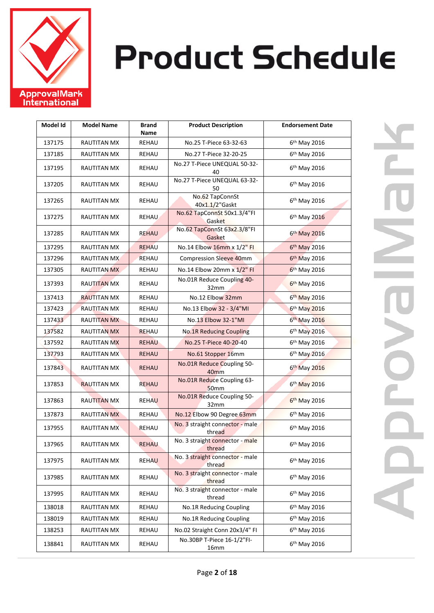

| Model Id | <b>Model Name</b>  | <b>Brand</b><br>Name | <b>Product Description</b>                     | <b>Endorsement Date</b>  |
|----------|--------------------|----------------------|------------------------------------------------|--------------------------|
| 137175   | <b>RAUTITAN MX</b> | <b>REHAU</b>         | No.25 T-Piece 63-32-63                         | 6th May 2016             |
| 137185   | <b>RAUTITAN MX</b> | REHAU                | No.27 T-Piece 32-20-25                         | 6 <sup>th</sup> May 2016 |
| 137195   | RAUTITAN MX        | <b>REHAU</b>         | No.27 T-Piece UNEQUAL 50-32-<br>40             | 6 <sup>th</sup> May 2016 |
| 137205   | RAUTITAN MX        | <b>REHAU</b>         | No.27 T-Piece UNEQUAL 63-32-<br>50             | 6 <sup>th</sup> May 2016 |
| 137265   | <b>RAUTITAN MX</b> | <b>REHAU</b>         | No.62 TapConnSt<br>40x1.1/2"Gaskt              | 6 <sup>th</sup> May 2016 |
| 137275   | RAUTITAN MX        | <b>REHAU</b>         | No.62 TapConnSt 50x1.3/4"FI<br>Gasket          | 6 <sup>th</sup> May 2016 |
| 137285   | RAUTITAN MX        | <b>REHAU</b>         | No.62 TapConnSt 63x2.3/8"FI<br>Gasket          | 6 <sup>th</sup> May 2016 |
| 137295   | RAUTITAN MX        | <b>REHAU</b>         | No.14 Elbow 16mm x 1/2" FI                     | 6 <sup>th</sup> May 2016 |
| 137296   | <b>RAUTITAN MX</b> | <b>REHAU</b>         | Compression Sleeve 40mm                        | 6th May 2016             |
| 137305   | <b>RAUTITAN MX</b> | REHAU                | No.14 Elbow 20mm x 1/2" FI                     | 6 <sup>th</sup> May 2016 |
| 137393   | <b>RAUTITAN MX</b> | <b>REHAU</b>         | No.01R Reduce Coupling 40-<br>32mm             | 6th May 2016             |
| 137413   | <b>RAUTITAN MX</b> | REHAU                | No.12 Elbow 32mm                               | 6 <sup>th</sup> May 2016 |
| 137423   | RAUTITAN MX        | <b>REHAU</b>         | No.13 Elbow 32 - 3/4"MI                        | 6th May 2016             |
| 137433   | <b>RAUTITAN MX</b> | REHAU                | No.13 Elbow 32-1"MI                            | 6 <sup>th</sup> May 2016 |
| 137582   | <b>RAUTITAN MX</b> | <b>REHAU</b>         | <b>No.1R Reducing Coupling</b>                 | 6 <sup>th</sup> May 2016 |
| 137592   | <b>RAUTITAN MX</b> | <b>REHAU</b>         | No.25 T-Piece 40-20-40                         | 6 <sup>th</sup> May 2016 |
| 137793   | RAUTITAN MX        | <b>REHAU</b>         | No.61 Stopper 16mm                             | 6 <sup>th</sup> May 2016 |
| 137843   | <b>RAUTITAN MX</b> | <b>REHAU</b>         | No.01R Reduce Coupling 50-<br>40 <sub>mm</sub> | 6 <sup>th</sup> May 2016 |
| 137853   | <b>RAUTITAN MX</b> | <b>REHAU</b>         | No.01R Reduce Coupling 63-<br>50 <sub>mm</sub> | 6th May 2016             |
| 137863   | <b>RAUTITAN MX</b> | <b>REHAU</b>         | No.01R Reduce Coupling 50-<br>32mm             | 6 <sup>th</sup> May 2016 |
| 137873   | <b>RAUTITAN MX</b> | <b>REHAU</b>         | No.12 Elbow 90 Degree 63mm                     | 6 <sup>th</sup> May 2016 |
| 137955   | <b>RAUTITAN MX</b> | <b>REHAU</b>         | No. 3 straight connector - male<br>thread      | 6 <sup>th</sup> May 2016 |
| 137965   | <b>RAUTITAN MX</b> | <b>REHAU</b>         | No. 3 straight connector - male<br>thread      | 6 <sup>th</sup> May 2016 |
| 137975   | RAUTITAN MX        | <b>REHAU</b>         | No. 3 straight connector - male<br>thread      | 6 <sup>th</sup> May 2016 |
| 137985   | RAUTITAN MX        | REHAU                | No. 3 straight connector - male<br>thread      | 6 <sup>th</sup> May 2016 |
| 137995   | RAUTITAN MX        | <b>REHAU</b>         | No. 3 straight connector - male<br>thread      | 6 <sup>th</sup> May 2016 |
| 138018   | RAUTITAN MX        | REHAU                | No.1R Reducing Coupling                        | 6 <sup>th</sup> May 2016 |
| 138019   | RAUTITAN MX        | REHAU                | No.1R Reducing Coupling                        | 6 <sup>th</sup> May 2016 |
| 138253   | <b>RAUTITAN MX</b> | REHAU                | No.02 Straight Conn 20x3/4" FI                 | 6 <sup>th</sup> May 2016 |
| 138841   | RAUTITAN MX        | REHAU                | No.30BP T-Piece 16-1/2"FI-<br>16mm             | 6 <sup>th</sup> May 2016 |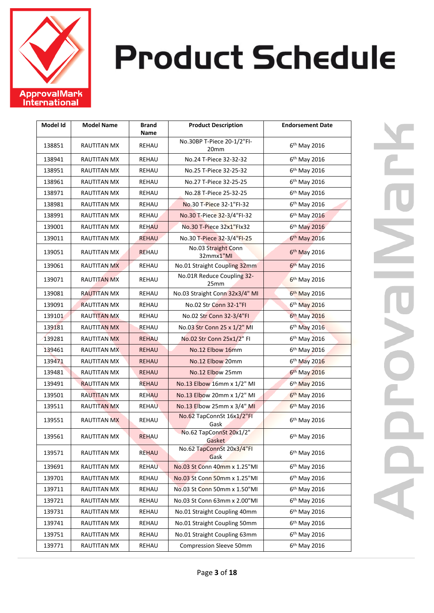

| Model Id | <b>Model Name</b>  | <b>Brand</b><br>Name | <b>Product Description</b>         | <b>Endorsement Date</b>  |
|----------|--------------------|----------------------|------------------------------------|--------------------------|
| 138851   | RAUTITAN MX        | REHAU                | No.30BP T-Piece 20-1/2"FI-<br>20mm | 6 <sup>th</sup> May 2016 |
| 138941   | RAUTITAN MX        | REHAU                | No.24 T-Piece 32-32-32             | 6 <sup>th</sup> May 2016 |
| 138951   | RAUTITAN MX        | REHAU                | No.25 T-Piece 32-25-32             | 6 <sup>th</sup> May 2016 |
| 138961   | RAUTITAN MX        | <b>REHAU</b>         | No.27 T-Piece 32-25-25             | 6 <sup>th</sup> May 2016 |
| 138971   | RAUTITAN MX        | REHAU                | No.28 T-Piece 25-32-25             | 6 <sup>th</sup> May 2016 |
| 138981   | RAUTITAN MX        | <b>REHAU</b>         | No.30 T-Piece 32-1"FI-32           | 6 <sup>th</sup> May 2016 |
| 138991   | <b>RAUTITAN MX</b> | <b>REHAU</b>         | No.30 T-Piece 32-3/4"FI-32         | 6 <sup>th</sup> May 2016 |
| 139001   | <b>RAUTITAN MX</b> | <b>REHAU</b>         | No.30 T-Piece 32x1"Flx32           | 6 <sup>th</sup> May 2016 |
| 139011   | RAUTITAN MX        | <b>REHAU</b>         | No.30 T-Piece 32-3/4"FI-25         | 6 <sup>th</sup> May 2016 |
| 139051   | <b>RAUTITAN MX</b> | <b>REHAU</b>         | No.03 Straight Conn<br>32mmx1"MI   | 6 <sup>th</sup> May 2016 |
| 139061   | <b>RAUTITAN MX</b> | REHAU                | No.01 Straight Coupling 32mm       | 6th May 2016             |
| 139071   | <b>RAUTITAN MX</b> | REHAU                | No.01R Reduce Coupling 32-<br>25mm | 6 <sup>th</sup> May 2016 |
| 139081   | <b>RAUTITAN MX</b> | <b>REHAU</b>         | No.03 Straight Conn 32x3/4" MI     | $6th$ May 2016           |
| 139091   | <b>RAUTITAN MX</b> | <b>REHAU</b>         | No.02 Str Conn 32-1"FI             | 6 <sup>th</sup> May 2016 |
| 139101   | <b>RAUTITAN MX</b> | REHAU                | No.02 Str Conn 32-3/4"FI           | 6 <sup>th</sup> May 2016 |
| 139181   | <b>RAUTITAN MX</b> | REHAU                | No.03 Str Conn 25 x 1/2" MI        | 6 <sup>th</sup> May 2016 |
| 139281   | <b>RAUTITAN MX</b> | <b>REHAU</b>         | No.02 Str Conn 25x1/2" FI          | 6 <sup>th</sup> May 2016 |
| 139461   | <b>RAUTITAN MX</b> | <b>REHAU</b>         | No.12 Elbow 16mm                   | 6 <sup>th</sup> May 2016 |
| 139471   | RAUTITAN MX        | <b>REHAU</b>         | No.12 Elbow 20mm                   | 6 <sup>th</sup> May 2016 |
| 139481   | RAUTITAN MX        | <b>REHAU</b>         | No.12 Elbow 25mm                   | 6th May 2016             |
| 139491   | <b>RAUTITAN MX</b> | <b>REHAU</b>         | No.13 Elbow 16mm x 1/2" MI         | 6th May 2016             |
| 139501   | <b>RAUTITAN MX</b> | <b>REHAU</b>         | No.13 Elbow 20mm x 1/2" MI         | 6 <sup>th</sup> May 2016 |
| 139511   | <b>RAUTITAN MX</b> | <b>REHAU</b>         | No.13 Elbow 25mm x 3/4" MI         | 6 <sup>th</sup> May 2016 |
| 139551   | <b>RAUTITAN MX</b> | <b>REHAU</b>         | No.62 TapConnSt 16x1/2"FI<br>Gask  | 6 <sup>th</sup> May 2016 |
| 139561   | RAUTITAN MX        | <b>REHAU</b>         | No.62 TapConnSt 20x1/2"<br>Gasket  | 6 <sup>th</sup> May 2016 |
| 139571   | RAUTITAN MX        | <b>REHAU</b>         | No.62 TapConnSt 20x3/4"FI<br>Gask  | 6 <sup>th</sup> May 2016 |
| 139691   | RAUTITAN MX        | <b>REHAU</b>         | No.03 St Conn 40mm x 1.25"MI       | 6 <sup>th</sup> May 2016 |
| 139701   | RAUTITAN MX        | REHAU                | No.03 St Conn 50mm x 1.25"MI       | 6 <sup>th</sup> May 2016 |
| 139711   | <b>RAUTITAN MX</b> | REHAU                | No.03 St Conn 50mm x 1.50"MI       | 6 <sup>th</sup> May 2016 |
| 139721   | RAUTITAN MX        | REHAU                | No.03 St Conn 63mm x 2.00"MI       | 6 <sup>th</sup> May 2016 |
| 139731   | RAUTITAN MX        | REHAU                | No.01 Straight Coupling 40mm       | 6 <sup>th</sup> May 2016 |
| 139741   | RAUTITAN MX        | REHAU                | No.01 Straight Coupling 50mm       | 6 <sup>th</sup> May 2016 |
| 139751   | RAUTITAN MX        | REHAU                | No.01 Straight Coupling 63mm       | 6 <sup>th</sup> May 2016 |
| 139771   | RAUTITAN MX        | REHAU                | Compression Sleeve 50mm            | 6 <sup>th</sup> May 2016 |
|          |                    |                      |                                    |                          |

Ξ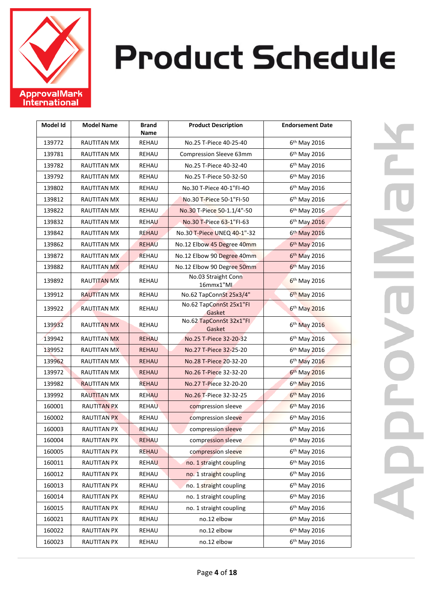

| Model Id | <b>Model Name</b>  | <b>Brand</b><br>Name | <b>Product Description</b>        | <b>Endorsement Date</b>  |
|----------|--------------------|----------------------|-----------------------------------|--------------------------|
| 139772   | RAUTITAN MX        | REHAU                | No.25 T-Piece 40-25-40            | 6 <sup>th</sup> May 2016 |
| 139781   | RAUTITAN MX        | REHAU                | Compression Sleeve 63mm           | $6th$ May 2016           |
| 139782   | <b>RAUTITAN MX</b> | REHAU                | No.25 T-Piece 40-32-40            | 6 <sup>th</sup> May 2016 |
| 139792   | RAUTITAN MX        | REHAU                | No.25 T-Piece 50-32-50            | 6 <sup>th</sup> May 2016 |
| 139802   | RAUTITAN MX        | REHAU                | No.30 T-Piece 40-1"FI-40          | $6th$ May 2016           |
| 139812   | RAUTITAN MX        | REHAU                | No.30 T-Piece 50-1"FI-50          | 6 <sup>th</sup> May 2016 |
| 139822   | RAUTITAN MX        | REHAU                | No.30 T-Piece 50-1.1/4"-50        | 6 <sup>th</sup> May 2016 |
| 139832   | RAUTITAN MX        | <b>REHAU</b>         | No.30 T-Piece 63-1"FI-63          | 6 <sup>th</sup> May 2016 |
| 139842   | RAUTITAN MX        | <b>REHAU</b>         | No.30 T-Piece UNEQ 40-1"-32       | 6 <sup>th</sup> May 2016 |
| 139862   | <b>RAUTITAN MX</b> | <b>REHAU</b>         | No.12 Elbow 45 Degree 40mm        | 6 <sup>th</sup> May 2016 |
| 139872   | RAUTITAN MX        | <b>REHAU</b>         | No.12 Elbow 90 Degree 40mm        | 6 <sup>th</sup> May 2016 |
| 139882   | <b>RAUTITAN MX</b> | REHAU                | No.12 Elbow 90 Degree 50mm        | 6 <sup>th</sup> May 2016 |
| 139892   | RAUTITAN MX        | REHAU                | No.03 Straight Conn<br>16mmx1"MI  | 6 <sup>th</sup> May 2016 |
| 139912   | <b>RAUTITAN MX</b> | REHAU                | No.62 TapConnSt 25x3/4"           | 6 <sup>th</sup> May 2016 |
| 139922   | <b>RAUTITAN MX</b> | REHAU                | No.62 TapConnSt 25x1"FI<br>Gasket | 6th May 2016             |
| 139932   | RAUTITAN MX        | REHAU                | No.62 TapConnSt 32x1"FI<br>Gasket | 6 <sup>th</sup> May 2016 |
| 139942   | <b>RAUTITAN MX</b> | <b>REHAU</b>         | No.25 T-Piece 32-20-32            | 6 <sup>th</sup> May 2016 |
| 139952   | <b>RAUTITAN MX</b> | <b>REHAU</b>         | No.27 T-Piece 32-25-20            | 6 <sup>th</sup> May 2016 |
| 139962   | RAUTITAN MX        | <b>REHAU</b>         | No.28 T-Piece 20-32-20            | 6 <sup>th</sup> May 2016 |
| 139972   | RAUTITAN MX        | <b>REHAU</b>         | No.26 T-Piece 32-32-20            | 6 <sup>th</sup> May 2016 |
| 139982   | <b>RAUTITAN MX</b> | <b>REHAU</b>         | No.27 T-Piece 32-20-20            | 6 <sup>th</sup> May 2016 |
| 139992   | <b>RAUTITAN MX</b> | <b>REHAU</b>         | No.26 T-Piece 32-32-25            | 6 <sup>th</sup> May 2016 |
| 160001   | <b>RAUTITAN PX</b> | <b>REHAU</b>         | compression sleeve                | $6th$ May 2016           |
| 160002   | <b>RAUTITAN PX</b> | REHAU                | compression sleeve                | 6 <sup>th</sup> May 2016 |
| 160003   | <b>RAUTITAN PX</b> | <b>REHAU</b>         | compression sleeve                | $6th$ May 2016           |
| 160004   | <b>RAUTITAN PX</b> | <b>REHAU</b>         | compression sleeve                | 6 <sup>th</sup> May 2016 |
| 160005   | <b>RAUTITAN PX</b> | <b>REHAU</b>         | compression sleeve                | 6 <sup>th</sup> May 2016 |
| 160011   | RAUTITAN PX        | <b>REHAU</b>         | no. 1 straight coupling           | 6 <sup>th</sup> May 2016 |
| 160012   | <b>RAUTITAN PX</b> | REHAU                | no. 1 straight coupling           | 6 <sup>th</sup> May 2016 |
| 160013   | <b>RAUTITAN PX</b> | REHAU                | no. 1 straight coupling           | 6 <sup>th</sup> May 2016 |
| 160014   | RAUTITAN PX        | REHAU                | no. 1 straight coupling           | 6 <sup>th</sup> May 2016 |
| 160015   | RAUTITAN PX        | REHAU                | no. 1 straight coupling           | 6 <sup>th</sup> May 2016 |
| 160021   | <b>RAUTITAN PX</b> | REHAU                | no.12 elbow                       | 6 <sup>th</sup> May 2016 |
| 160022   | <b>RAUTITAN PX</b> | REHAU                | no.12 elbow                       | 6 <sup>th</sup> May 2016 |
| 160023   | RAUTITAN PX        | REHAU                | no.12 elbow                       | 6 <sup>th</sup> May 2016 |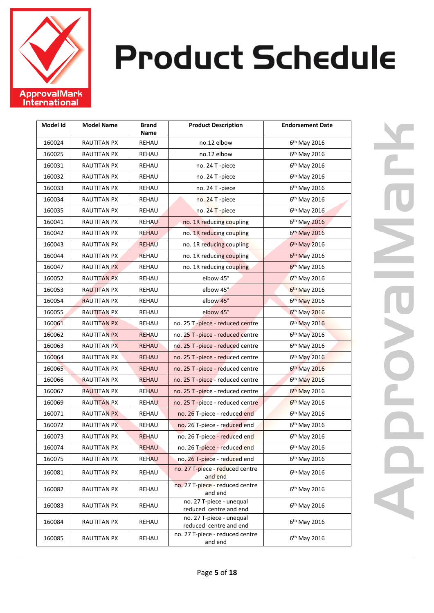

| 160024<br>no.12 elbow<br>6 <sup>th</sup> May 2016<br>RAUTITAN PX<br>REHAU<br>6 <sup>th</sup> May 2016<br>160025<br><b>RAUTITAN PX</b><br>REHAU<br>no.12 elbow<br>160031<br><b>RAUTITAN PX</b><br>REHAU<br>no. 24 T -piece<br>6 <sup>th</sup> May 2016<br>160032<br>6 <sup>th</sup> May 2016<br><b>RAUTITAN PX</b><br>REHAU<br>no. 24 T -piece<br>160033<br>$6th$ May 2016<br>RAUTITAN PX<br>REHAU<br>no. 24 T -piece<br>6 <sup>th</sup> May 2016<br>160034<br>RAUTITAN PX<br>REHAU<br>no. 24 T -piece<br>160035<br>$6th$ May 2016<br>RAUTITAN PX<br>REHAU<br>no. $24$ T -piece<br>160041<br>6 <sup>th</sup> May 2016<br>RAUTITAN PX<br><b>REHAU</b><br>no. 1R reducing coupling<br>6 <sup>th</sup> May 2016<br>160042<br><b>RAUTITAN PX</b><br><b>REHAU</b><br>no. 1R reducing coupling<br>160043<br>6 <sup>th</sup> May 2016<br>RAUTITAN PX<br><b>REHAU</b><br>no. 1R reducing coupling<br>160044<br><b>REHAU</b><br>6 <sup>th</sup> May 2016<br>RAUTITAN PX<br>no. 1R reducing coupling<br>160047<br>6th May 2016<br>RAUTITAN PX<br>REHAU<br>no. 1R reducing coupling<br>160052<br><b>RAUTITAN PX</b><br>elbow 45°<br>6 <sup>th</sup> May 2016<br>REHAU<br>elbow 45°<br>160053<br><b>RAUTITAN PX</b><br>REHAU<br>6 <sup>th</sup> May 2016<br>elbow 45°<br>6 <sup>th</sup> May 2016<br>160054<br><b>RAUTITAN PX</b><br>REHAU<br>elbow 45°<br>6th May 2016<br>160055<br><b>RAUTITAN PX</b><br><b>REHAU</b><br>160061<br>no. 25 T-piece - reduced centre<br>6 <sup>th</sup> May 2016<br>RAUTITAN PX<br><b>REHAU</b><br>160062<br>6 <sup>th</sup> May 2016<br>RAUTITAN PX<br><b>REHAU</b><br>no. 25 T -piece - reduced centre<br>160063<br>no. 25 T-piece - reduced centre<br>$6th$ May 2016<br>RAUTITAN PX<br><b>REHAU</b><br>160064<br>no. 25 T -piece - reduced centre<br>6th May 2016<br>RAUTITAN PX<br><b>REHAU</b><br>6 <sup>th</sup> May 2016<br>160065<br><b>RAUTITAN PX</b><br>no. 25 T -piece - reduced centre<br><b>REHAU</b><br>160066<br>6 <sup>th</sup> May 2016<br><b>RAUTITAN PX</b><br><b>REHAU</b><br>no. 25 T -piece - reduced centre<br>6 <sup>th</sup> May 2016<br>160067<br><b>RAUTITAN PX</b><br><b>REHAU</b><br>no. 25 T-piece - reduced centre<br>160069<br>no. 25 T-piece - reduced centre<br>6 <sup>th</sup> May 2016<br>RAUTITAN PX<br><b>REHAU</b><br>160071<br>no. 26 T-piece - reduced end<br>6 <sup>th</sup> May 2016<br>RAUTITAN PX<br>REHAU<br>160072<br><b>RAUTITAN PX</b><br>REHAU<br>no. 26 T-piece - reduced end<br>6 <sup>th</sup> May 2016<br>6 <sup>th</sup> May 2016<br>160073<br><b>RAUTITAN PX</b><br><b>REHAU</b><br>no. 26 T-piece - reduced end<br>160074<br>RAUTITAN PX<br><b>REHAU</b><br>6 <sup>th</sup> May 2016<br>no. 26 T-piece - reduced end<br>no. 26 T-piece - reduced end<br>6 <sup>th</sup> May 2016<br>160075<br>RAUTITAN PX<br><b>REHAU</b><br>no. 27 T-piece - reduced centre<br>6 <sup>th</sup> May 2016<br>160081<br>RAUTITAN PX<br>REHAU<br>and end<br>no. 27 T-piece - reduced centre<br>6 <sup>th</sup> May 2016<br>160082<br>RAUTITAN PX<br>REHAU<br>and end<br>no. 27 T-piece - unequal<br>6 <sup>th</sup> May 2016<br>160083<br>RAUTITAN PX<br>REHAU<br>reduced centre and end<br>no. 27 T-piece - unequal<br>6 <sup>th</sup> May 2016<br>160084<br><b>RAUTITAN PX</b><br>REHAU<br>reduced centre and end<br>no. 27 T-piece - reduced centre<br>6 <sup>th</sup> May 2016<br>160085<br>RAUTITAN PX<br>REHAU<br>and end | Model Id | <b>Model Name</b> | <b>Brand</b><br><b>Name</b> | <b>Product Description</b> | <b>Endorsement Date</b> |
|-------------------------------------------------------------------------------------------------------------------------------------------------------------------------------------------------------------------------------------------------------------------------------------------------------------------------------------------------------------------------------------------------------------------------------------------------------------------------------------------------------------------------------------------------------------------------------------------------------------------------------------------------------------------------------------------------------------------------------------------------------------------------------------------------------------------------------------------------------------------------------------------------------------------------------------------------------------------------------------------------------------------------------------------------------------------------------------------------------------------------------------------------------------------------------------------------------------------------------------------------------------------------------------------------------------------------------------------------------------------------------------------------------------------------------------------------------------------------------------------------------------------------------------------------------------------------------------------------------------------------------------------------------------------------------------------------------------------------------------------------------------------------------------------------------------------------------------------------------------------------------------------------------------------------------------------------------------------------------------------------------------------------------------------------------------------------------------------------------------------------------------------------------------------------------------------------------------------------------------------------------------------------------------------------------------------------------------------------------------------------------------------------------------------------------------------------------------------------------------------------------------------------------------------------------------------------------------------------------------------------------------------------------------------------------------------------------------------------------------------------------------------------------------------------------------------------------------------------------------------------------------------------------------------------------------------------------------------------------------------------------------------------------------------------------------------------------------------------------------------------------------------------------------------------------------------------------------------------------------------------------------------------------------------------------------------------------------------------------------------------------------------|----------|-------------------|-----------------------------|----------------------------|-------------------------|
|                                                                                                                                                                                                                                                                                                                                                                                                                                                                                                                                                                                                                                                                                                                                                                                                                                                                                                                                                                                                                                                                                                                                                                                                                                                                                                                                                                                                                                                                                                                                                                                                                                                                                                                                                                                                                                                                                                                                                                                                                                                                                                                                                                                                                                                                                                                                                                                                                                                                                                                                                                                                                                                                                                                                                                                                                                                                                                                                                                                                                                                                                                                                                                                                                                                                                                                                                                                           |          |                   |                             |                            |                         |
|                                                                                                                                                                                                                                                                                                                                                                                                                                                                                                                                                                                                                                                                                                                                                                                                                                                                                                                                                                                                                                                                                                                                                                                                                                                                                                                                                                                                                                                                                                                                                                                                                                                                                                                                                                                                                                                                                                                                                                                                                                                                                                                                                                                                                                                                                                                                                                                                                                                                                                                                                                                                                                                                                                                                                                                                                                                                                                                                                                                                                                                                                                                                                                                                                                                                                                                                                                                           |          |                   |                             |                            |                         |
|                                                                                                                                                                                                                                                                                                                                                                                                                                                                                                                                                                                                                                                                                                                                                                                                                                                                                                                                                                                                                                                                                                                                                                                                                                                                                                                                                                                                                                                                                                                                                                                                                                                                                                                                                                                                                                                                                                                                                                                                                                                                                                                                                                                                                                                                                                                                                                                                                                                                                                                                                                                                                                                                                                                                                                                                                                                                                                                                                                                                                                                                                                                                                                                                                                                                                                                                                                                           |          |                   |                             |                            |                         |
|                                                                                                                                                                                                                                                                                                                                                                                                                                                                                                                                                                                                                                                                                                                                                                                                                                                                                                                                                                                                                                                                                                                                                                                                                                                                                                                                                                                                                                                                                                                                                                                                                                                                                                                                                                                                                                                                                                                                                                                                                                                                                                                                                                                                                                                                                                                                                                                                                                                                                                                                                                                                                                                                                                                                                                                                                                                                                                                                                                                                                                                                                                                                                                                                                                                                                                                                                                                           |          |                   |                             |                            |                         |
|                                                                                                                                                                                                                                                                                                                                                                                                                                                                                                                                                                                                                                                                                                                                                                                                                                                                                                                                                                                                                                                                                                                                                                                                                                                                                                                                                                                                                                                                                                                                                                                                                                                                                                                                                                                                                                                                                                                                                                                                                                                                                                                                                                                                                                                                                                                                                                                                                                                                                                                                                                                                                                                                                                                                                                                                                                                                                                                                                                                                                                                                                                                                                                                                                                                                                                                                                                                           |          |                   |                             |                            |                         |
|                                                                                                                                                                                                                                                                                                                                                                                                                                                                                                                                                                                                                                                                                                                                                                                                                                                                                                                                                                                                                                                                                                                                                                                                                                                                                                                                                                                                                                                                                                                                                                                                                                                                                                                                                                                                                                                                                                                                                                                                                                                                                                                                                                                                                                                                                                                                                                                                                                                                                                                                                                                                                                                                                                                                                                                                                                                                                                                                                                                                                                                                                                                                                                                                                                                                                                                                                                                           |          |                   |                             |                            |                         |
|                                                                                                                                                                                                                                                                                                                                                                                                                                                                                                                                                                                                                                                                                                                                                                                                                                                                                                                                                                                                                                                                                                                                                                                                                                                                                                                                                                                                                                                                                                                                                                                                                                                                                                                                                                                                                                                                                                                                                                                                                                                                                                                                                                                                                                                                                                                                                                                                                                                                                                                                                                                                                                                                                                                                                                                                                                                                                                                                                                                                                                                                                                                                                                                                                                                                                                                                                                                           |          |                   |                             |                            |                         |
|                                                                                                                                                                                                                                                                                                                                                                                                                                                                                                                                                                                                                                                                                                                                                                                                                                                                                                                                                                                                                                                                                                                                                                                                                                                                                                                                                                                                                                                                                                                                                                                                                                                                                                                                                                                                                                                                                                                                                                                                                                                                                                                                                                                                                                                                                                                                                                                                                                                                                                                                                                                                                                                                                                                                                                                                                                                                                                                                                                                                                                                                                                                                                                                                                                                                                                                                                                                           |          |                   |                             |                            |                         |
|                                                                                                                                                                                                                                                                                                                                                                                                                                                                                                                                                                                                                                                                                                                                                                                                                                                                                                                                                                                                                                                                                                                                                                                                                                                                                                                                                                                                                                                                                                                                                                                                                                                                                                                                                                                                                                                                                                                                                                                                                                                                                                                                                                                                                                                                                                                                                                                                                                                                                                                                                                                                                                                                                                                                                                                                                                                                                                                                                                                                                                                                                                                                                                                                                                                                                                                                                                                           |          |                   |                             |                            |                         |
|                                                                                                                                                                                                                                                                                                                                                                                                                                                                                                                                                                                                                                                                                                                                                                                                                                                                                                                                                                                                                                                                                                                                                                                                                                                                                                                                                                                                                                                                                                                                                                                                                                                                                                                                                                                                                                                                                                                                                                                                                                                                                                                                                                                                                                                                                                                                                                                                                                                                                                                                                                                                                                                                                                                                                                                                                                                                                                                                                                                                                                                                                                                                                                                                                                                                                                                                                                                           |          |                   |                             |                            |                         |
|                                                                                                                                                                                                                                                                                                                                                                                                                                                                                                                                                                                                                                                                                                                                                                                                                                                                                                                                                                                                                                                                                                                                                                                                                                                                                                                                                                                                                                                                                                                                                                                                                                                                                                                                                                                                                                                                                                                                                                                                                                                                                                                                                                                                                                                                                                                                                                                                                                                                                                                                                                                                                                                                                                                                                                                                                                                                                                                                                                                                                                                                                                                                                                                                                                                                                                                                                                                           |          |                   |                             |                            |                         |
|                                                                                                                                                                                                                                                                                                                                                                                                                                                                                                                                                                                                                                                                                                                                                                                                                                                                                                                                                                                                                                                                                                                                                                                                                                                                                                                                                                                                                                                                                                                                                                                                                                                                                                                                                                                                                                                                                                                                                                                                                                                                                                                                                                                                                                                                                                                                                                                                                                                                                                                                                                                                                                                                                                                                                                                                                                                                                                                                                                                                                                                                                                                                                                                                                                                                                                                                                                                           |          |                   |                             |                            |                         |
|                                                                                                                                                                                                                                                                                                                                                                                                                                                                                                                                                                                                                                                                                                                                                                                                                                                                                                                                                                                                                                                                                                                                                                                                                                                                                                                                                                                                                                                                                                                                                                                                                                                                                                                                                                                                                                                                                                                                                                                                                                                                                                                                                                                                                                                                                                                                                                                                                                                                                                                                                                                                                                                                                                                                                                                                                                                                                                                                                                                                                                                                                                                                                                                                                                                                                                                                                                                           |          |                   |                             |                            |                         |
|                                                                                                                                                                                                                                                                                                                                                                                                                                                                                                                                                                                                                                                                                                                                                                                                                                                                                                                                                                                                                                                                                                                                                                                                                                                                                                                                                                                                                                                                                                                                                                                                                                                                                                                                                                                                                                                                                                                                                                                                                                                                                                                                                                                                                                                                                                                                                                                                                                                                                                                                                                                                                                                                                                                                                                                                                                                                                                                                                                                                                                                                                                                                                                                                                                                                                                                                                                                           |          |                   |                             |                            |                         |
|                                                                                                                                                                                                                                                                                                                                                                                                                                                                                                                                                                                                                                                                                                                                                                                                                                                                                                                                                                                                                                                                                                                                                                                                                                                                                                                                                                                                                                                                                                                                                                                                                                                                                                                                                                                                                                                                                                                                                                                                                                                                                                                                                                                                                                                                                                                                                                                                                                                                                                                                                                                                                                                                                                                                                                                                                                                                                                                                                                                                                                                                                                                                                                                                                                                                                                                                                                                           |          |                   |                             |                            |                         |
|                                                                                                                                                                                                                                                                                                                                                                                                                                                                                                                                                                                                                                                                                                                                                                                                                                                                                                                                                                                                                                                                                                                                                                                                                                                                                                                                                                                                                                                                                                                                                                                                                                                                                                                                                                                                                                                                                                                                                                                                                                                                                                                                                                                                                                                                                                                                                                                                                                                                                                                                                                                                                                                                                                                                                                                                                                                                                                                                                                                                                                                                                                                                                                                                                                                                                                                                                                                           |          |                   |                             |                            |                         |
|                                                                                                                                                                                                                                                                                                                                                                                                                                                                                                                                                                                                                                                                                                                                                                                                                                                                                                                                                                                                                                                                                                                                                                                                                                                                                                                                                                                                                                                                                                                                                                                                                                                                                                                                                                                                                                                                                                                                                                                                                                                                                                                                                                                                                                                                                                                                                                                                                                                                                                                                                                                                                                                                                                                                                                                                                                                                                                                                                                                                                                                                                                                                                                                                                                                                                                                                                                                           |          |                   |                             |                            |                         |
|                                                                                                                                                                                                                                                                                                                                                                                                                                                                                                                                                                                                                                                                                                                                                                                                                                                                                                                                                                                                                                                                                                                                                                                                                                                                                                                                                                                                                                                                                                                                                                                                                                                                                                                                                                                                                                                                                                                                                                                                                                                                                                                                                                                                                                                                                                                                                                                                                                                                                                                                                                                                                                                                                                                                                                                                                                                                                                                                                                                                                                                                                                                                                                                                                                                                                                                                                                                           |          |                   |                             |                            |                         |
|                                                                                                                                                                                                                                                                                                                                                                                                                                                                                                                                                                                                                                                                                                                                                                                                                                                                                                                                                                                                                                                                                                                                                                                                                                                                                                                                                                                                                                                                                                                                                                                                                                                                                                                                                                                                                                                                                                                                                                                                                                                                                                                                                                                                                                                                                                                                                                                                                                                                                                                                                                                                                                                                                                                                                                                                                                                                                                                                                                                                                                                                                                                                                                                                                                                                                                                                                                                           |          |                   |                             |                            |                         |
|                                                                                                                                                                                                                                                                                                                                                                                                                                                                                                                                                                                                                                                                                                                                                                                                                                                                                                                                                                                                                                                                                                                                                                                                                                                                                                                                                                                                                                                                                                                                                                                                                                                                                                                                                                                                                                                                                                                                                                                                                                                                                                                                                                                                                                                                                                                                                                                                                                                                                                                                                                                                                                                                                                                                                                                                                                                                                                                                                                                                                                                                                                                                                                                                                                                                                                                                                                                           |          |                   |                             |                            |                         |
|                                                                                                                                                                                                                                                                                                                                                                                                                                                                                                                                                                                                                                                                                                                                                                                                                                                                                                                                                                                                                                                                                                                                                                                                                                                                                                                                                                                                                                                                                                                                                                                                                                                                                                                                                                                                                                                                                                                                                                                                                                                                                                                                                                                                                                                                                                                                                                                                                                                                                                                                                                                                                                                                                                                                                                                                                                                                                                                                                                                                                                                                                                                                                                                                                                                                                                                                                                                           |          |                   |                             |                            |                         |
|                                                                                                                                                                                                                                                                                                                                                                                                                                                                                                                                                                                                                                                                                                                                                                                                                                                                                                                                                                                                                                                                                                                                                                                                                                                                                                                                                                                                                                                                                                                                                                                                                                                                                                                                                                                                                                                                                                                                                                                                                                                                                                                                                                                                                                                                                                                                                                                                                                                                                                                                                                                                                                                                                                                                                                                                                                                                                                                                                                                                                                                                                                                                                                                                                                                                                                                                                                                           |          |                   |                             |                            |                         |
|                                                                                                                                                                                                                                                                                                                                                                                                                                                                                                                                                                                                                                                                                                                                                                                                                                                                                                                                                                                                                                                                                                                                                                                                                                                                                                                                                                                                                                                                                                                                                                                                                                                                                                                                                                                                                                                                                                                                                                                                                                                                                                                                                                                                                                                                                                                                                                                                                                                                                                                                                                                                                                                                                                                                                                                                                                                                                                                                                                                                                                                                                                                                                                                                                                                                                                                                                                                           |          |                   |                             |                            |                         |
|                                                                                                                                                                                                                                                                                                                                                                                                                                                                                                                                                                                                                                                                                                                                                                                                                                                                                                                                                                                                                                                                                                                                                                                                                                                                                                                                                                                                                                                                                                                                                                                                                                                                                                                                                                                                                                                                                                                                                                                                                                                                                                                                                                                                                                                                                                                                                                                                                                                                                                                                                                                                                                                                                                                                                                                                                                                                                                                                                                                                                                                                                                                                                                                                                                                                                                                                                                                           |          |                   |                             |                            |                         |
|                                                                                                                                                                                                                                                                                                                                                                                                                                                                                                                                                                                                                                                                                                                                                                                                                                                                                                                                                                                                                                                                                                                                                                                                                                                                                                                                                                                                                                                                                                                                                                                                                                                                                                                                                                                                                                                                                                                                                                                                                                                                                                                                                                                                                                                                                                                                                                                                                                                                                                                                                                                                                                                                                                                                                                                                                                                                                                                                                                                                                                                                                                                                                                                                                                                                                                                                                                                           |          |                   |                             |                            |                         |
|                                                                                                                                                                                                                                                                                                                                                                                                                                                                                                                                                                                                                                                                                                                                                                                                                                                                                                                                                                                                                                                                                                                                                                                                                                                                                                                                                                                                                                                                                                                                                                                                                                                                                                                                                                                                                                                                                                                                                                                                                                                                                                                                                                                                                                                                                                                                                                                                                                                                                                                                                                                                                                                                                                                                                                                                                                                                                                                                                                                                                                                                                                                                                                                                                                                                                                                                                                                           |          |                   |                             |                            |                         |
|                                                                                                                                                                                                                                                                                                                                                                                                                                                                                                                                                                                                                                                                                                                                                                                                                                                                                                                                                                                                                                                                                                                                                                                                                                                                                                                                                                                                                                                                                                                                                                                                                                                                                                                                                                                                                                                                                                                                                                                                                                                                                                                                                                                                                                                                                                                                                                                                                                                                                                                                                                                                                                                                                                                                                                                                                                                                                                                                                                                                                                                                                                                                                                                                                                                                                                                                                                                           |          |                   |                             |                            |                         |
|                                                                                                                                                                                                                                                                                                                                                                                                                                                                                                                                                                                                                                                                                                                                                                                                                                                                                                                                                                                                                                                                                                                                                                                                                                                                                                                                                                                                                                                                                                                                                                                                                                                                                                                                                                                                                                                                                                                                                                                                                                                                                                                                                                                                                                                                                                                                                                                                                                                                                                                                                                                                                                                                                                                                                                                                                                                                                                                                                                                                                                                                                                                                                                                                                                                                                                                                                                                           |          |                   |                             |                            |                         |
|                                                                                                                                                                                                                                                                                                                                                                                                                                                                                                                                                                                                                                                                                                                                                                                                                                                                                                                                                                                                                                                                                                                                                                                                                                                                                                                                                                                                                                                                                                                                                                                                                                                                                                                                                                                                                                                                                                                                                                                                                                                                                                                                                                                                                                                                                                                                                                                                                                                                                                                                                                                                                                                                                                                                                                                                                                                                                                                                                                                                                                                                                                                                                                                                                                                                                                                                                                                           |          |                   |                             |                            |                         |
|                                                                                                                                                                                                                                                                                                                                                                                                                                                                                                                                                                                                                                                                                                                                                                                                                                                                                                                                                                                                                                                                                                                                                                                                                                                                                                                                                                                                                                                                                                                                                                                                                                                                                                                                                                                                                                                                                                                                                                                                                                                                                                                                                                                                                                                                                                                                                                                                                                                                                                                                                                                                                                                                                                                                                                                                                                                                                                                                                                                                                                                                                                                                                                                                                                                                                                                                                                                           |          |                   |                             |                            |                         |
|                                                                                                                                                                                                                                                                                                                                                                                                                                                                                                                                                                                                                                                                                                                                                                                                                                                                                                                                                                                                                                                                                                                                                                                                                                                                                                                                                                                                                                                                                                                                                                                                                                                                                                                                                                                                                                                                                                                                                                                                                                                                                                                                                                                                                                                                                                                                                                                                                                                                                                                                                                                                                                                                                                                                                                                                                                                                                                                                                                                                                                                                                                                                                                                                                                                                                                                                                                                           |          |                   |                             |                            |                         |
|                                                                                                                                                                                                                                                                                                                                                                                                                                                                                                                                                                                                                                                                                                                                                                                                                                                                                                                                                                                                                                                                                                                                                                                                                                                                                                                                                                                                                                                                                                                                                                                                                                                                                                                                                                                                                                                                                                                                                                                                                                                                                                                                                                                                                                                                                                                                                                                                                                                                                                                                                                                                                                                                                                                                                                                                                                                                                                                                                                                                                                                                                                                                                                                                                                                                                                                                                                                           |          |                   |                             |                            |                         |
|                                                                                                                                                                                                                                                                                                                                                                                                                                                                                                                                                                                                                                                                                                                                                                                                                                                                                                                                                                                                                                                                                                                                                                                                                                                                                                                                                                                                                                                                                                                                                                                                                                                                                                                                                                                                                                                                                                                                                                                                                                                                                                                                                                                                                                                                                                                                                                                                                                                                                                                                                                                                                                                                                                                                                                                                                                                                                                                                                                                                                                                                                                                                                                                                                                                                                                                                                                                           |          |                   |                             |                            |                         |
|                                                                                                                                                                                                                                                                                                                                                                                                                                                                                                                                                                                                                                                                                                                                                                                                                                                                                                                                                                                                                                                                                                                                                                                                                                                                                                                                                                                                                                                                                                                                                                                                                                                                                                                                                                                                                                                                                                                                                                                                                                                                                                                                                                                                                                                                                                                                                                                                                                                                                                                                                                                                                                                                                                                                                                                                                                                                                                                                                                                                                                                                                                                                                                                                                                                                                                                                                                                           |          |                   |                             |                            |                         |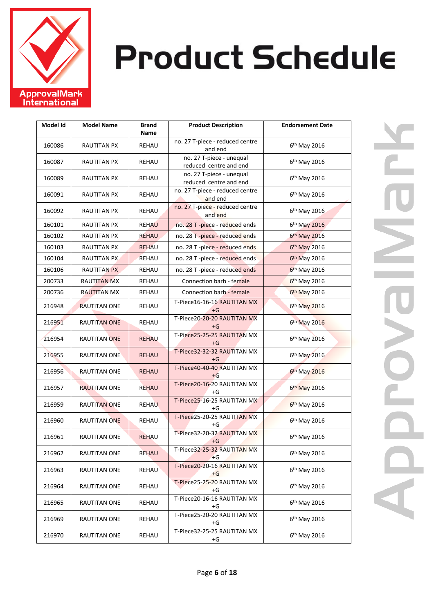

| Model Id | <b>Model Name</b>   | <b>Brand</b><br>Name | <b>Product Description</b>                         | <b>Endorsement Date</b>  |
|----------|---------------------|----------------------|----------------------------------------------------|--------------------------|
| 160086   | <b>RAUTITAN PX</b>  | <b>REHAU</b>         | no. 27 T-piece - reduced centre<br>and end         | 6 <sup>th</sup> May 2016 |
| 160087   | RAUTITAN PX         | REHAU                | no. 27 T-piece - unequal<br>reduced centre and end | 6 <sup>th</sup> May 2016 |
| 160089   | RAUTITAN PX         | REHAU                | no. 27 T-piece - unequal<br>reduced centre and end | 6 <sup>th</sup> May 2016 |
| 160091   | RAUTITAN PX         | REHAU                | no. 27 T-piece - reduced centre<br>and end         | 6 <sup>th</sup> May 2016 |
| 160092   | <b>RAUTITAN PX</b>  | <b>REHAU</b>         | no. 27 T-piece - reduced centre<br>and end         | 6 <sup>th</sup> May 2016 |
| 160101   | <b>RAUTITAN PX</b>  | <b>REHAU</b>         | no. 28 T -piece - reduced ends                     | 6th May 2016             |
| 160102   | <b>RAUTITAN PX</b>  | <b>REHAU</b>         | no. 28 T-piece - reduced ends                      | $6th$ May 2016           |
| 160103   | <b>RAUTITAN PX</b>  | <b>REHAU</b>         | no. 28 T -piece - reduced ends                     | 6 <sup>th</sup> May 2016 |
| 160104   | <b>RAUTITAN PX</b>  | <b>REHAU</b>         | no. 28 T -piece - reduced ends                     | 6th May 2016             |
| 160106   | RAUTITAN PX         | REHAU                | no. 28 T -piece - reduced ends                     | 6 <sup>th</sup> May 2016 |
| 200733   | <b>RAUTITAN MX</b>  | REHAU                | Connection barb - female                           | 6 <sup>th</sup> May 2016 |
| 200736   | <b>RAUTITAN MX</b>  | <b>REHAU</b>         | Connection barb - female                           | 6th May 2016             |
| 216948   | <b>RAUTITAN ONE</b> | <b>REHAU</b>         | T-Piece16-16-16 RAUTITAN MX<br>+G                  | 6 <sup>th</sup> May 2016 |
| 216951   | <b>RAUTITAN ONE</b> | <b>REHAU</b>         | T-Piece20-20-20 RAUTITAN MX<br>$+G$                | 6 <sup>th</sup> May 2016 |
| 216954   | <b>RAUTITAN ONE</b> | <b>REHAU</b>         | T-Piece25-25-25 RAUTITAN MX<br>+G                  | 6 <sup>th</sup> May 2016 |
| 216955   | <b>RAUTITAN ONE</b> | <b>REHAU</b>         | T-Piece32-32-32 RAUTITAN MX<br>+G                  | 6th May 2016             |
| 216956   | <b>RAUTITAN ONE</b> | <b>REHAU</b>         | T-Piece40-40-40 RAUTITAN MX<br>$+G$                | 6th May 2016             |
| 216957   | <b>RAUTITAN ONE</b> | <b>REHAU</b>         | T-Piece20-16-20 RAUTITAN MX<br>+G                  | 6 <sup>th</sup> May 2016 |
| 216959   | <b>RAUTITAN ONE</b> | <b>REHAU</b>         | T-Piece25-16-25 RAUTITAN MX<br>+G                  | 6 <sup>th</sup> May 2016 |
| 216960   | <b>RAUTITAN ONE</b> | <b>REHAU</b>         | T-Piece25-20-25 RAUTITAN MX<br>+G                  | 6 <sup>th</sup> May 2016 |
| 216961   | <b>RAUTITAN ONE</b> | <b>REHAU</b>         | T-Piece32-20-32 RAUTITAN MX<br>+G                  | 6 <sup>th</sup> May 2016 |
| 216962   | RAUTITAN ONE        | <b>REHAU</b>         | T-Piece32-25-32 RAUTITAN MX<br>$+G$                | 6 <sup>th</sup> May 2016 |
| 216963   | RAUTITAN ONE        | REHAU                | T-Piece20-20-16 RAUTITAN MX<br>$+G$                | 6 <sup>th</sup> May 2016 |
| 216964   | RAUTITAN ONE        | REHAU                | T-Piece25-25-20 RAUTITAN MX<br>+G                  | 6 <sup>th</sup> May 2016 |
| 216965   | RAUTITAN ONE        | REHAU                | T-Piece20-16-16 RAUTITAN MX<br>+G                  | 6 <sup>th</sup> May 2016 |
| 216969   | RAUTITAN ONE        | REHAU                | T-Piece25-20-20 RAUTITAN MX<br>+G                  | 6th May 2016             |
| 216970   | RAUTITAN ONE        | REHAU                | T-Piece32-25-25 RAUTITAN MX<br>+G                  | 6 <sup>th</sup> May 2016 |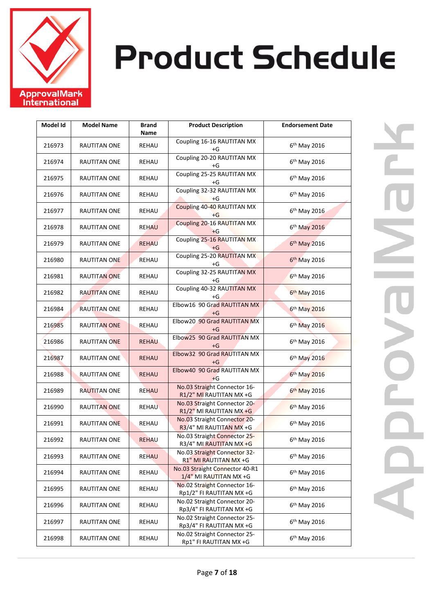

| Model Id | <b>Model Name</b>   | <b>Brand</b><br>Name | <b>Product Description</b>                               | <b>Endorsement Date</b>  |
|----------|---------------------|----------------------|----------------------------------------------------------|--------------------------|
| 216973   | <b>RAUTITAN ONE</b> | REHAU                | Coupling 16-16 RAUTITAN MX<br>+G                         | 6 <sup>th</sup> May 2016 |
| 216974   | <b>RAUTITAN ONE</b> | REHAU                | Coupling 20-20 RAUTITAN MX<br>+G                         | 6 <sup>th</sup> May 2016 |
| 216975   | RAUTITAN ONE        | REHAU                | Coupling 25-25 RAUTITAN MX<br>+G                         | 6 <sup>th</sup> May 2016 |
| 216976   | <b>RAUTITAN ONE</b> | REHAU                | Coupling 32-32 RAUTITAN MX<br>+G                         | 6 <sup>th</sup> May 2016 |
| 216977   | RAUTITAN ONE        | REHAU                | Coupling 40-40 RAUTITAN MX<br>$+G$                       | 6 <sup>th</sup> May 2016 |
| 216978   | <b>RAUTITAN ONE</b> | <b>REHAU</b>         | Coupling 20-16 RAUTITAN MX<br>$+G$                       | 6 <sup>th</sup> May 2016 |
| 216979   | <b>RAUTITAN ONE</b> | <b>REHAU</b>         | Coupling 25-16 RAUTITAN MX<br>+G                         | 6 <sup>th</sup> May 2016 |
| 216980   | <b>RAUTITAN ONE</b> | <b>REHAU</b>         | Coupling 25-20 RAUTITAN MX<br>+G                         | 6th May 2016             |
| 216981   | <b>RAUTITAN ONE</b> | REHAU                | Coupling 32-25 RAUTITAN MX<br>+G                         | 6 <sup>th</sup> May 2016 |
| 216982   | <b>RAUTITAN ONE</b> | <b>REHAU</b>         | Coupling 40-32 RAUTITAN MX<br>+G                         | 6th May 2016             |
| 216984   | <b>RAUTITAN ONE</b> | REHAU                | Elbow16 90 Grad RAUTITAN MX<br>+G                        | 6th May 2016             |
| 216985   | <b>RAUTITAN ONE</b> | <b>REHAU</b>         | Elbow20 90 Grad RAUTITAN MX<br>+G                        | 6 <sup>th</sup> May 2016 |
| 216986   | <b>RAUTITAN ONE</b> | <b>REHAU</b>         | Elbow25 90 Grad RAUTITAN MX<br>+G                        | 6 <sup>th</sup> May 2016 |
| 216987   | RAUTITAN ONE        | <b>REHAU</b>         | Elbow32 90 Grad RAUTITAN MX<br>+G                        | 6 <sup>th</sup> May 2016 |
| 216988   | RAUTITAN ONE        | <b>REHAU</b>         | Elbow40 90 Grad RAUTITAN MX<br>$+G$                      | 6th May 2016             |
| 216989   | <b>RAUTITAN ONE</b> | <b>REHAU</b>         | No.03 Straight Connector 16-<br>R1/2" MI RAUTITAN MX +G  | 6 <sup>th</sup> May 2016 |
| 216990   | <b>RAUTITAN ONE</b> | <b>REHAU</b>         | No.03 Straight Connector 20-<br>R1/2" MI RAUTITAN MX +G  | 6 <sup>th</sup> May 2016 |
| 216991   | <b>RAUTITAN ONE</b> | REHAU                | No.03 Straight Connector 20-<br>R3/4" MI RAUTITAN MX +G  | 6 <sup>th</sup> May 2016 |
| 216992   | <b>RAUTITAN ONE</b> | <b>REHAU</b>         | No.03 Straight Connector 25-<br>R3/4" MI RAUTITAN MX +G  | 6 <sup>th</sup> May 2016 |
| 216993   | <b>RAUTITAN ONE</b> | <b>REHAU</b>         | No.03 Straight Connector 32-<br>R1" MI RAUTITAN MX +G    | 6 <sup>th</sup> May 2016 |
| 216994   | <b>RAUTITAN ONE</b> | REHAU                | No.03 Straight Connector 40-R1<br>1/4" MI RAUTITAN MX +G | 6 <sup>th</sup> May 2016 |
| 216995   | <b>RAUTITAN ONE</b> | REHAU                | No.02 Straight Connector 16-<br>Rp1/2" FI RAUTITAN MX +G | 6 <sup>th</sup> May 2016 |
| 216996   | <b>RAUTITAN ONE</b> | REHAU                | No.02 Straight Connector 20-<br>Rp3/4" FI RAUTITAN MX +G | 6 <sup>th</sup> May 2016 |
| 216997   | RAUTITAN ONE        | REHAU                | No.02 Straight Connector 25-<br>Rp3/4" FI RAUTITAN MX +G | 6 <sup>th</sup> May 2016 |
| 216998   | <b>RAUTITAN ONE</b> | REHAU                | No.02 Straight Connector 25-<br>Rp1" FI RAUTITAN MX +G   | 6 <sup>th</sup> May 2016 |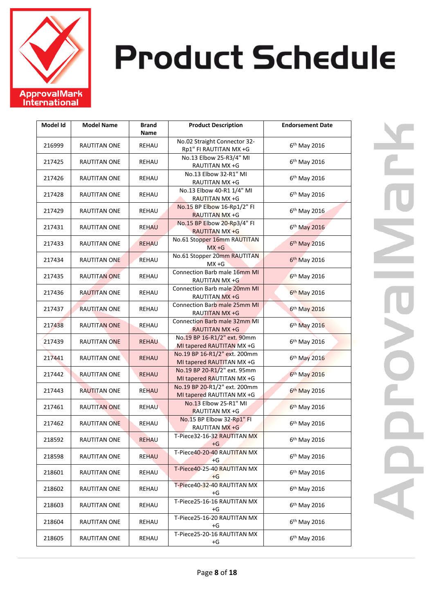

| Model Id | <b>Model Name</b>   | <b>Brand</b><br>Name | <b>Product Description</b>                                   | <b>Endorsement Date</b>  |
|----------|---------------------|----------------------|--------------------------------------------------------------|--------------------------|
| 216999   | <b>RAUTITAN ONE</b> | REHAU                | No.02 Straight Connector 32-<br>Rp1" FI RAUTITAN MX +G       | 6 <sup>th</sup> May 2016 |
| 217425   | RAUTITAN ONE        | REHAU                | No.13 Elbow 25-R3/4" MI<br>RAUTITAN MX +G                    | 6 <sup>th</sup> May 2016 |
| 217426   | RAUTITAN ONE        | REHAU                | No.13 Elbow 32-R1" MI<br>RAUTITAN MX +G                      | 6 <sup>th</sup> May 2016 |
| 217428   | RAUTITAN ONE        | REHAU                | No.13 Elbow 40-R1 1/4" MI<br>RAUTITAN MX +G                  | 6 <sup>th</sup> May 2016 |
| 217429   | RAUTITAN ONE        | REHAU                | No.15 BP Elbow 16-Rp1/2" FI<br><b>RAUTITAN MX +G</b>         | 6 <sup>th</sup> May 2016 |
| 217431   | RAUTITAN ONE        | <b>REHAU</b>         | No.15 BP Elbow 20-Rp3/4" FI<br><b>RAUTITAN MX +G</b>         | 6th May 2016             |
| 217433   | RAUTITAN ONE        | <b>REHAU</b>         | No.61 Stopper 16mm RAUTITAN<br>$MX + G$                      | 6 <sup>th</sup> May 2016 |
| 217434   | <b>RAUTITAN ONE</b> | <b>REHAU</b>         | No.61 Stopper 20mm RAUTITAN<br>$MX + G$                      | 6th May 2016             |
| 217435   | <b>RAUTITAN ONE</b> | REHAU                | Connection Barb male 16mm MI<br>RAUTITAN MX +G               | 6 <sup>th</sup> May 2016 |
| 217436   | <b>RAUTITAN ONE</b> | REHAU                | Connection Barb male 20mm MI<br>RAUTITAN MX +G               | 6 <sup>th</sup> May 2016 |
| 217437   | <b>RAUTITAN ONE</b> | REHAU                | <b>Connection Barb male 25mm MI</b><br>RAUTITAN MX +G        | 6th May 2016             |
| 217438   | <b>RAUTITAN ONE</b> | REHAU                | <b>Connection Barb male 32mm MI</b><br><b>RAUTITAN MX +G</b> | 6 <sup>th</sup> May 2016 |
| 217439   | <b>RAUTITAN ONE</b> | <b>REHAU</b>         | No.19 BP 16-R1/2" ext. 90mm<br>MI tapered RAUTITAN MX +G     | 6 <sup>th</sup> May 2016 |
| 217441   | <b>RAUTITAN ONE</b> | <b>REHAU</b>         | No.19 BP 16-R1/2" ext. 200mm<br>MI tapered RAUTITAN MX +G    | 6th May 2016             |
| 217442   | RAUTITAN ONE        | <b>REHAU</b>         | No.19 BP 20-R1/2" ext. 95mm<br>MI tapered RAUTITAN MX +G     | 6th May 2016             |
| 217443   | <b>RAUTITAN ONE</b> | <b>REHAU</b>         | No.19 BP 20-R1/2" ext. 200mm<br>MI tapered RAUTITAN MX +G    | 6 <sup>th</sup> May 2016 |
| 217461   | <b>RAUTITAN ONE</b> | <b>REHAU</b>         | No.13 Elbow 25-R1" MI<br>RAUTITAN MX +G                      | 6 <sup>th</sup> May 2016 |
| 217462   | <b>RAUTITAN ONE</b> | REHAU                | No.15 BP Elbow 32-Rp1" FI<br>RAUTITAN MX +G                  | 6 <sup>th</sup> May 2016 |
| 218592   | RAUTITAN ONE        | <b>REHAU</b>         | T-Piece32-16-32 RAUTITAN MX<br>$+G$                          | $6th$ May 2016           |
| 218598   | <b>RAUTITAN ONE</b> | <b>REHAU</b>         | T-Piece40-20-40 RAUTITAN MX<br>+G                            | 6 <sup>th</sup> May 2016 |
| 218601   | RAUTITAN ONE        | REHAU                | T-Piece40-25-40 RAUTITAN MX<br>+G                            | 6 <sup>th</sup> May 2016 |
| 218602   | <b>RAUTITAN ONE</b> | REHAU                | T-Piece40-32-40 RAUTITAN MX<br>+G                            | 6 <sup>th</sup> May 2016 |
| 218603   | RAUTITAN ONE        | REHAU                | T-Piece25-16-16 RAUTITAN MX<br>+G                            | 6 <sup>th</sup> May 2016 |
| 218604   | RAUTITAN ONE        | REHAU                | T-Piece25-16-20 RAUTITAN MX<br>+G                            | 6 <sup>th</sup> May 2016 |
| 218605   | RAUTITAN ONE        | REHAU                | T-Piece25-20-16 RAUTITAN MX<br>+G                            | 6 <sup>th</sup> May 2016 |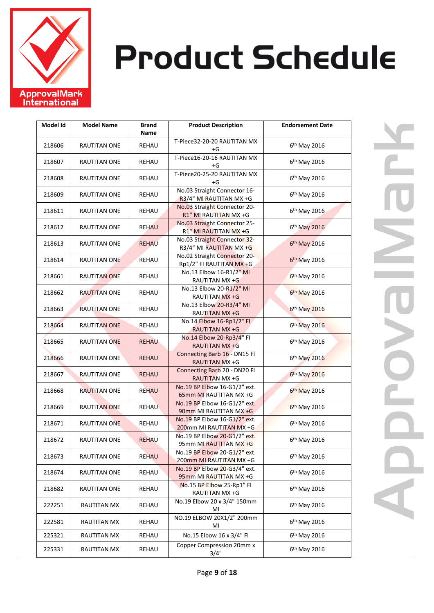

| Model Id | <b>Model Name</b>   | <b>Brand</b><br>Name | <b>Product Description</b>                               | <b>Endorsement Date</b>  |
|----------|---------------------|----------------------|----------------------------------------------------------|--------------------------|
| 218606   | RAUTITAN ONE        | REHAU                | T-Piece32-20-20 RAUTITAN MX<br>+G                        | 6 <sup>th</sup> May 2016 |
| 218607   | RAUTITAN ONE        | <b>REHAU</b>         | T-Piece16-20-16 RAUTITAN MX<br>+G                        | 6 <sup>th</sup> May 2016 |
| 218608   | RAUTITAN ONE        | REHAU                | T-Piece20-25-20 RAUTITAN MX<br>+G                        | 6 <sup>th</sup> May 2016 |
| 218609   | RAUTITAN ONE        | REHAU                | No.03 Straight Connector 16-<br>R3/4" MI RAUTITAN MX +G  | 6 <sup>th</sup> May 2016 |
| 218611   | RAUTITAN ONE        | REHAU                | No.03 Straight Connector 20-<br>R1" MI RAUTITAN MX +G    | 6 <sup>th</sup> May 2016 |
| 218612   | RAUTITAN ONE        | <b>REHAU</b>         | No.03 Straight Connector 25-<br>R1" MI RAUTITAN MX +G    | 6 <sup>th</sup> May 2016 |
| 218613   | RAUTITAN ONE        | <b>REHAU</b>         | No.03 Straight Connector 32-<br>R3/4" MI RAUTITAN MX +G  | 6 <sup>th</sup> May 2016 |
| 218614   | RAUTITAN ONE        | REHAU                | No.02 Straight Connector 20-<br>Rp1/2" FI RAUTITAN MX +G | 6th May 2016             |
| 218661   | <b>RAUTITAN ONE</b> | REHAU                | No.13 Elbow 16-R1/2" MI<br>RAUTITAN MX +G                | 6 <sup>th</sup> May 2016 |
| 218662   | <b>RAUTITAN ONE</b> | REHAU                | No.13 Elbow 20-R1/2" MI<br>RAUTITAN MX +G                | 6th May 2016             |
| 218663   | <b>RAUTITAN ONE</b> | REHAU                | No.13 Elbow 20-R3/4" MI<br>RAUTITAN MX +G                | 6th May 2016             |
| 218664   | RAUTITAN ONE        | REHAU                | No.14 Elbow 16-Rp1/2" Fl<br>RAUTITAN MX +G               | 6 <sup>th</sup> May 2016 |
| 218665   | <b>RAUTITAN ONE</b> | <b>REHAU</b>         | No.14 Elbow 20-Rp3/4" FI<br>RAUTITAN MX +G               | 6 <sup>th</sup> May 2016 |
| 218666   | RAUTITAN ONE        | <b>REHAU</b>         | Connecting Barb 16 - DN15 Fl<br><b>RAUTITAN MX +G</b>    | 6 <sup>th</sup> May 2016 |
| 218667   | RAUTITAN ONE        | <b>REHAU</b>         | Connecting Barb 20 - DN20 Fl<br><b>RAUTITAN MX +G</b>    | 6th May 2016             |
| 218668   | RAUTITAN ONE        | <b>REHAU</b>         | No.19 BP Elbow 16-G1/2" ext.<br>65mm MI RAUTITAN MX +G   | 6 <sup>th</sup> May 2016 |
| 218669   | RAUTITAN ONE        | <b>REHAU</b>         | No.19 BP Elbow 16-G1/2" ext.<br>90mm MI RAUTITAN MX +G   | 6 <sup>th</sup> May 2016 |
| 218671   | <b>RAUTITAN ONE</b> | REHAU                | No.19 BP Elbow 16-G1/2" ext.<br>200mm MI RAUTITAN MX +G  | 6 <sup>th</sup> May 2016 |
| 218672   | RAUTITAN ONE        | <b>REHAU</b>         | No.19 BP Elbow 20-G1/2" ext.<br>95mm MI RAUTITAN MX +G   | 6 <sup>th</sup> May 2016 |
| 218673   | RAUTITAN ONE        | <b>REHAU</b>         | No.19 BP Elbow 20-G1/2" ext.<br>200mm MI RAUTITAN MX +G  | 6 <sup>th</sup> May 2016 |
| 218674   | RAUTITAN ONE        | REHAU                | No.19 BP Elbow 20-G3/4" ext.<br>95mm MI RAUTITAN MX +G   | 6 <sup>th</sup> May 2016 |
| 218682   | RAUTITAN ONE        | REHAU                | No.15 BP Elbow 25-Rp1" FI<br>RAUTITAN MX +G              | 6 <sup>th</sup> May 2016 |
| 222251   | RAUTITAN MX         | REHAU                | No.19 Elbow 20 x 3/4" 150mm<br>MI                        | 6 <sup>th</sup> May 2016 |
| 222581   | RAUTITAN MX         | REHAU                | NO.19 ELBOW 20X1/2" 200mm<br>MI                          | 6 <sup>th</sup> May 2016 |
| 225321   | RAUTITAN MX         | REHAU                | No.15 Elbow 16 x 3/4" FI                                 | 6 <sup>th</sup> May 2016 |
| 225331   | RAUTITAN MX         | REHAU                | Copper Compression 20mm x<br>3/4"                        | 6 <sup>th</sup> May 2016 |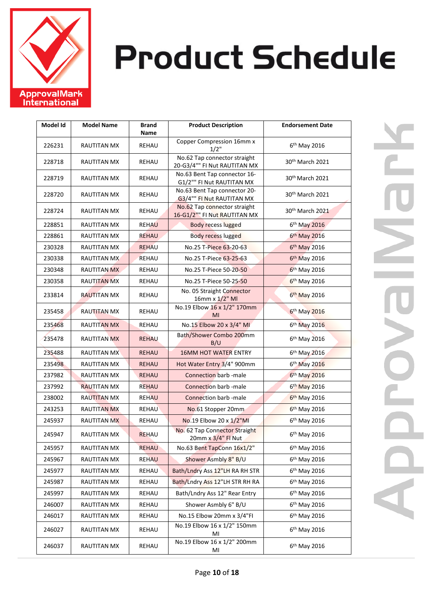

| Model Id | <b>Model Name</b>  | <b>Brand</b><br>Name | <b>Product Description</b>                                   | <b>Endorsement Date</b>     |
|----------|--------------------|----------------------|--------------------------------------------------------------|-----------------------------|
| 226231   | RAUTITAN MX        | REHAU                | Copper Compression 16mm x<br>$1/2$ "                         | 6 <sup>th</sup> May 2016    |
| 228718   | RAUTITAN MX        | <b>REHAU</b>         | No.62 Tap connector straight<br>20-G3/4"" FI Nut RAUTITAN MX | 30th March 2021             |
| 228719   | RAUTITAN MX        | <b>REHAU</b>         | No.63 Bent Tap connector 16-<br>G1/2"" FI Nut RAUTITAN MX    | 30th March 2021             |
| 228720   | RAUTITAN MX        | <b>REHAU</b>         | No.63 Bent Tap connector 20-<br>G3/4"" FI Nut RAUTITAN MX    | 30th March 2021             |
| 228724   | <b>RAUTITAN MX</b> | <b>REHAU</b>         | No.62 Tap connector straight<br>16-G1/2"" FI Nut RAUTITAN MX | 30 <sup>th</sup> March 2021 |
| 228851   | RAUTITAN MX        | <b>REHAU</b>         | <b>Body recess lugged</b>                                    | 6th May 2016                |
| 228861   | RAUTITAN MX        | <b>REHAU</b>         | <b>Body recess lugged</b>                                    | $6th$ May 2016              |
| 230328   | RAUTITAN MX        | <b>REHAU</b>         | No.25 T-Piece 63-20-63                                       | 6 <sup>th</sup> May 2016    |
| 230338   | <b>RAUTITAN MX</b> | <b>REHAU</b>         | No.25 T-Piece 63-25-63                                       | 6 <sup>th</sup> May 2016    |
| 230348   | <b>RAUTITAN MX</b> | REHAU                | No.25 T-Piece 50-20-50                                       | 6 <sup>th</sup> May 2016    |
| 230358   | <b>RAUTITAN MX</b> | REHAU                | No.25 T-Piece 50-25-50                                       | 6 <sup>th</sup> May 2016    |
| 233814   | <b>RAUTITAN MX</b> | REHAU                | No. 05 Straight Connector<br>16mm x 1/2" Ml                  | 6 <sup>th</sup> May 2016    |
| 235458   | <b>RAUTITAN MX</b> | REHAU                | No.19 Elbow 16 x 1/2" 170mm<br>MI                            | 6 <sup>th</sup> May 2016    |
| 235468   | <b>RAUTITAN MX</b> | REHAU                | No.15 Elbow 20 x 3/4" MI                                     | 6 <sup>th</sup> May 2016    |
| 235478   | <b>RAUTITAN MX</b> | <b>REHAU</b>         | Bath/Shower Combo 200mm<br>B/U                               | 6 <sup>th</sup> May 2016    |
| 235488   | <b>RAUTITAN MX</b> | <b>REHAU</b>         | <b>16MM HOT WATER ENTRY</b>                                  | 6 <sup>th</sup> May 2016    |
| 235498   | <b>RAUTITAN MX</b> | <b>REHAU</b>         | Hot Water Entry 3/4" 900mm                                   | 6 <sup>th</sup> May 2016    |
| 237982   | <b>RAUTITAN MX</b> | <b>REHAU</b>         | <b>Connection barb -male</b>                                 | 6th May 2016                |
| 237992   | <b>RAUTITAN MX</b> | <b>REHAU</b>         | Connection barb -male                                        | 6 <sup>th</sup> May 2016    |
| 238002   | <b>RAUTITAN MX</b> | <b>REHAU</b>         | Connection barb -male                                        | 6 <sup>th</sup> May 2016    |
| 243253   | <b>RAUTITAN MX</b> | <b>REHAU</b>         | No.61 Stopper 20mm                                           | 6 <sup>th</sup> May 2016    |
| 245937   | <b>RAUTITAN MX</b> | REHAU                | No.19 Elbow 20 x 1/2"MI                                      | 6 <sup>th</sup> May 2016    |
| 245947   | <b>RAUTITAN MX</b> | <b>REHAU</b>         | No. 62 Tap Connector Straight<br>20mm x 3/4" Fl Nut          | 6 <sup>th</sup> May 2016    |
| 245957   | RAUTITAN MX        | REHAU                | No.63 Bent TapConn 16x1/2"                                   | 6 <sup>th</sup> May 2016    |
| 245967   | RAUTITAN MX        | <b>REHAU</b>         | Shower Asmbly 8" B/U                                         | 6 <sup>th</sup> May 2016    |
| 245977   | <b>RAUTITAN MX</b> | REHAU                | Bath/Lndry Ass 12"LH RA RH STR                               | 6 <sup>th</sup> May 2016    |
| 245987   | <b>RAUTITAN MX</b> | REHAU                | Bath/Lndry Ass 12"LH STR RH RA                               | 6 <sup>th</sup> May 2016    |
| 245997   | <b>RAUTITAN MX</b> | REHAU                | Bath/Lndry Ass 12" Rear Entry                                | 6 <sup>th</sup> May 2016    |
| 246007   | <b>RAUTITAN MX</b> | REHAU                | Shower Asmbly 6" B/U                                         | 6 <sup>th</sup> May 2016    |
| 246017   | RAUTITAN MX        | REHAU                | No.15 Elbow 20mm x 3/4"FI                                    | 6 <sup>th</sup> May 2016    |
| 246027   | <b>RAUTITAN MX</b> | REHAU                | No.19 Elbow 16 x 1/2" 150mm<br>MI                            | 6 <sup>th</sup> May 2016    |
| 246037   | <b>RAUTITAN MX</b> | REHAU                | No.19 Elbow 16 x 1/2" 200mm<br>MI                            | 6 <sup>th</sup> May 2016    |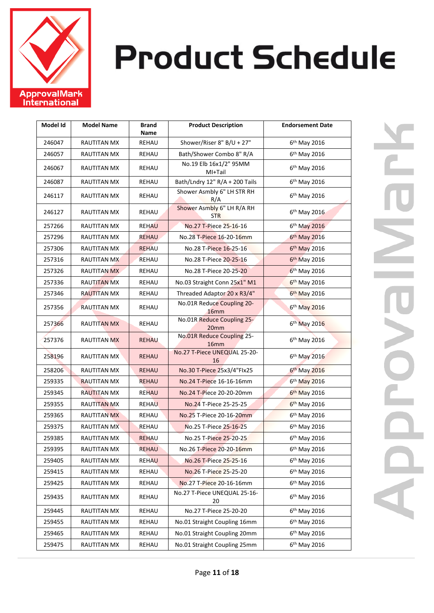

| Model Id | <b>Model Name</b>  | <b>Brand</b><br>Name | <b>Product Description</b>                            | <b>Endorsement Date</b>  |
|----------|--------------------|----------------------|-------------------------------------------------------|--------------------------|
| 246047   | <b>RAUTITAN MX</b> | REHAU                | Shower/Riser 8" B/U + 27"                             | 6th May 2016             |
| 246057   | RAUTITAN MX        | REHAU                | Bath/Shower Combo 8" R/A                              | 6 <sup>th</sup> May 2016 |
| 246067   | RAUTITAN MX        | REHAU                | No.19 Elb 16x1/2" 95MM<br>MI+Tail                     | 6 <sup>th</sup> May 2016 |
| 246087   | RAUTITAN MX        | REHAU                | Bath/Lndry 12" R/A + 200 Tails                        | 6 <sup>th</sup> May 2016 |
| 246117   | RAUTITAN MX        | REHAU                | Shower Asmbly 6" LH STR RH<br>R/A                     | 6 <sup>th</sup> May 2016 |
| 246127   | RAUTITAN MX        | REHAU                | Shower Asmbly 6" LH R/A RH<br><b>STR</b>              | 6 <sup>th</sup> May 2016 |
| 257266   | RAUTITAN MX        | <b>REHAU</b>         | No.27 T-Piece 25-16-16                                | 6 <sup>th</sup> May 2016 |
| 257296   | RAUTITAN MX        | REHAU                | No.28 T-Piece 16-20-16mm                              | 6 <sup>th</sup> May 2016 |
| 257306   | RAUTITAN MX        | <b>REHAU</b>         | No.28 T-Piece 16-25-16                                | 6 <sup>th</sup> May 2016 |
| 257316   | <b>RAUTITAN MX</b> | REHAU                | No.28 T-Piece 20-25-16                                | 6 <sup>th</sup> May 2016 |
| 257326   | <b>RAUTITAN MX</b> | REHAU                | No.28 T-Piece 20-25-20                                | $6th$ May 2016           |
| 257336   | <b>RAUTITAN MX</b> | REHAU                | No.03 Straight Conn 25x1" M1                          | 6 <sup>th</sup> May 2016 |
| 257346   | <b>RAUTITAN MX</b> | REHAU                | Threaded Adaptor 20 x R3/4"                           | 6 <sup>th</sup> May 2016 |
| 257356   | <b>RAUTITAN MX</b> | REHAU                | No.01R Reduce Coupling 20-<br>16 <sub>mm</sub>        | 6 <sup>th</sup> May 2016 |
| 257366   | <b>RAUTITAN MX</b> | REHAU                | No.01R Reduce Coupling 25-<br>20mm                    | 6 <sup>th</sup> May 2016 |
| 257376   | <b>RAUTITAN MX</b> | <b>REHAU</b>         | <b>No.01R Reduce Coupling 25-</b><br>16 <sub>mm</sub> | 6 <sup>th</sup> May 2016 |
| 258196   | RAUTITAN MX        | <b>REHAU</b>         | No.27 T-Piece UNEQUAL 25-20-<br>16                    | 6th May 2016             |
| 258206   | RAUTITAN MX        | <b>REHAU</b>         | No.30 T-Piece 25x3/4"Flx25                            | 6 <sup>th</sup> May 2016 |
| 259335   | <b>RAUTITAN MX</b> | <b>REHAU</b>         | No.24 T-Piece 16-16-16mm                              | 6 <sup>th</sup> May 2016 |
| 259345   | <b>RAUTITAN MX</b> | <b>REHAU</b>         | No.24 T-Piece 20-20-20mm                              | 6 <sup>th</sup> May 2016 |
| 259355   | <b>RAUTITAN MX</b> | <b>REHAU</b>         | No.24 T-Piece 25-25-25                                | $6th$ May 2016           |
| 259365   | <b>RAUTITAN MX</b> | REHAU                | No.25 T-Piece 20-16-20mm                              | 6 <sup>th</sup> May 2016 |
| 259375   | <b>RAUTITAN MX</b> | REHAU                | No.25 T-Piece 25-16-25                                | 6 <sup>th</sup> May 2016 |
| 259385   | RAUTITAN MX        | <b>REHAU</b>         | No.25 T-Piece 25-20-25                                | 6 <sup>th</sup> May 2016 |
| 259395   | RAUTITAN MX        | <b>REHAU</b>         | No.26 T-Piece 20-20-16mm                              | 6 <sup>th</sup> May 2016 |
| 259405   | RAUTITAN MX        | <b>REHAU</b>         | No.26 T-Piece 25-25-16                                | 6 <sup>th</sup> May 2016 |
| 259415   | RAUTITAN MX        | REHAU                | No.26 T-Piece 25-25-20                                | 6 <sup>th</sup> May 2016 |
| 259425   | RAUTITAN MX        | REHAU                | No.27 T-Piece 20-16-16mm                              | 6th May 2016             |
| 259435   | RAUTITAN MX        | REHAU                | No.27 T-Piece UNEQUAL 25-16-<br>20                    | 6 <sup>th</sup> May 2016 |
| 259445   | <b>RAUTITAN MX</b> | REHAU                | No.27 T-Piece 25-20-20                                | 6 <sup>th</sup> May 2016 |
| 259455   | <b>RAUTITAN MX</b> | REHAU                | No.01 Straight Coupling 16mm                          | 6 <sup>th</sup> May 2016 |
| 259465   | RAUTITAN MX        | REHAU                | No.01 Straight Coupling 20mm                          | 6 <sup>th</sup> May 2016 |
| 259475   | RAUTITAN MX        | REHAU                | No.01 Straight Coupling 25mm                          | 6 <sup>th</sup> May 2016 |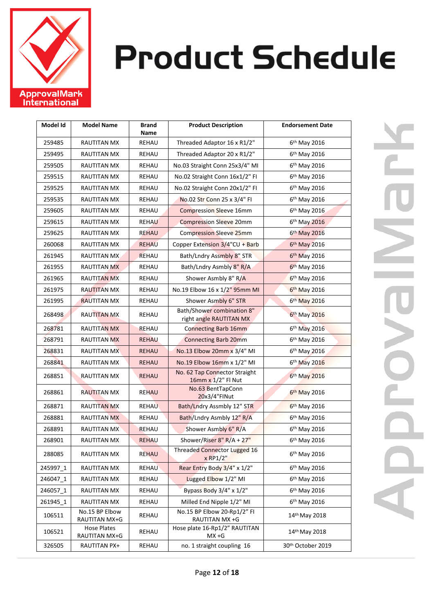

| Model Id | <b>Model Name</b>               | <b>Brand</b><br>Name | <b>Product Description</b>                                   | <b>Endorsement Date</b>  |
|----------|---------------------------------|----------------------|--------------------------------------------------------------|--------------------------|
| 259485   | RAUTITAN MX                     | REHAU                | Threaded Adaptor 16 x R1/2"                                  | 6 <sup>th</sup> May 2016 |
| 259495   | RAUTITAN MX                     | REHAU                | Threaded Adaptor 20 x R1/2"                                  | 6 <sup>th</sup> May 2016 |
| 259505   | RAUTITAN MX                     | REHAU                | No.03 Straight Conn 25x3/4" MI                               | 6 <sup>th</sup> May 2016 |
| 259515   | RAUTITAN MX                     | REHAU                | No.02 Straight Conn 16x1/2" FI                               | 6 <sup>th</sup> May 2016 |
| 259525   | RAUTITAN MX                     | REHAU                | No.02 Straight Conn 20x1/2" FI                               | 6 <sup>th</sup> May 2016 |
| 259535   | <b>RAUTITAN MX</b>              | REHAU                | No.02 Str Conn 25 x 3/4" FI                                  | 6 <sup>th</sup> May 2016 |
| 259605   | RAUTITAN MX                     | REHAU                | <b>Compression Sleeve 16mm</b>                               | 6 <sup>th</sup> May 2016 |
| 259615   | RAUTITAN MX                     | <b>REHAU</b>         | <b>Compression Sleeve 20mm</b>                               | 6 <sup>th</sup> May 2016 |
| 259625   | RAUTITAN MX                     | <b>REHAU</b>         | <b>Compression Sleeve 25mm</b>                               | 6 <sup>th</sup> May 2016 |
| 260068   | RAUTITAN MX                     | <b>REHAU</b>         | Copper Extension $3/4$ "CU + Barb                            | 6 <sup>th</sup> May 2016 |
| 261945   | <b>RAUTITAN MX</b>              | <b>REHAU</b>         | Bath/Lndry Assmbly 8" STR                                    | 6 <sup>th</sup> May 2016 |
| 261955   | <b>RAUTITAN MX</b>              | REHAU                | Bath/Lndry Asmbly 8" R/A                                     | 6th May 2016             |
| 261965   | RAUTITAN MX                     | REHAU                | Shower Asmbly 8" R/A                                         | 6 <sup>th</sup> May 2016 |
| 261975   | RAUTITAN MX                     | <b>REHAU</b>         | No.19 Elbow 16 x 1/2" 95mm MI                                | 6 <sup>th</sup> May 2016 |
| 261995   | <b>RAUTITAN MX</b>              | REHAU                | Shower Asmbly 6" STR                                         | 6 <sup>th</sup> May 2016 |
| 268498   | <b>RAUTITAN MX</b>              | REHAU                | <b>Bath/Shower combination 8"</b><br>right angle RAUTITAN MX | 6 <sup>th</sup> May 2016 |
| 268781   | RAUTITAN MX                     | <b>REHAU</b>         | <b>Connecting Barb 16mm</b>                                  | 6 <sup>th</sup> May 2016 |
| 268791   | RAUTITAN MX                     | <b>REHAU</b>         | <b>Connecting Barb 20mm</b>                                  | 6 <sup>th</sup> May 2016 |
| 268831   | <b>RAUTITAN MX</b>              | <b>REHAU</b>         | No.13 Elbow 20mm x 3/4" MI                                   | 6 <sup>th</sup> May 2016 |
| 268841   | RAUTITAN MX                     | <b>REHAU</b>         | No.19 Elbow 16mm x 1/2" MI                                   | 6 <sup>th</sup> May 2016 |
| 268851   | <b>RAUTITAN MX</b>              | <b>REHAU</b>         | No. 62 Tap Connector Straight<br>16mm x 1/2" Fl Nut          | 6th May 2016             |
| 268861   | <b>RAUTITAN MX</b>              | <b>REHAU</b>         | No.63 BentTapConn<br>20x3/4"FINut                            | 6 <sup>th</sup> May 2016 |
| 268871   | <b>RAUTITAN MX</b>              | <b>REHAU</b>         | Bath/Lndry Assmbly 12" STR                                   | 6 <sup>th</sup> May 2016 |
| 268881   | <b>RAUTITAN MX</b>              | REHAU                | Bath/Lndry Asmbly 12" R/A                                    | 6 <sup>th</sup> May 2016 |
| 268891   | RAUTITAN MX                     | <b>REHAU</b>         | Shower Asmbly 6" R/A                                         | $6th$ May 2016           |
| 268901   | RAUTITAN MX                     | <b>REHAU</b>         | Shower/Riser 8" R/A + 27"                                    | 6 <sup>th</sup> May 2016 |
| 288085   | RAUTITAN MX                     | <b>REHAU</b>         | <b>Threaded Connector Lugged 16</b><br>x RP1/2"              | 6 <sup>th</sup> May 2016 |
| 245997_1 | <b>RAUTITAN MX</b>              | <b>REHAU</b>         | Rear Entry Body 3/4" x 1/2"                                  | 6 <sup>th</sup> May 2016 |
| 246047 1 | RAUTITAN MX                     | REHAU                | Lugged Elbow 1/2" MI                                         | $6th$ May 2016           |
| 246057 1 | RAUTITAN MX                     | REHAU                | Bypass Body 3/4" x 1/2"                                      | 6 <sup>th</sup> May 2016 |
| 261945 1 | RAUTITAN MX                     | REHAU                | Milled End Nipple 1/2" MI                                    | 6 <sup>th</sup> May 2016 |
| 106511   | No.15 BP Elbow<br>RAUTITAN MX+G | REHAU                | No.15 BP Elbow 20-Rp1/2" FI<br>RAUTITAN MX +G                | 14th May 2018            |
| 106521   | Hose Plates<br>RAUTITAN MX+G    | REHAU                | Hose plate 16-Rp1/2" RAUTITAN<br>$MX +G$                     | 14th May 2018            |
| 326505   | RAUTITAN PX+                    | REHAU                | no. 1 straight coupling 16                                   | 30th October 2019        |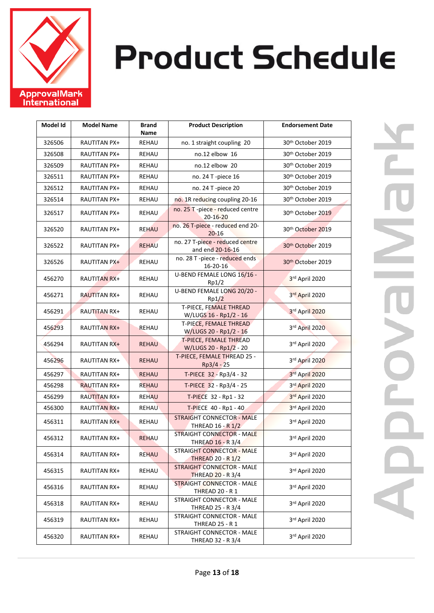

| Model Id | <b>Model Name</b>   | <b>Brand</b><br>Name | <b>Product Description</b>                                   | <b>Endorsement Date</b>       |
|----------|---------------------|----------------------|--------------------------------------------------------------|-------------------------------|
| 326506   | RAUTITAN PX+        | REHAU                | no. 1 straight coupling 20                                   | 30th October 2019             |
| 326508   | RAUTITAN PX+        | REHAU                | no.12 elbow 16                                               | 30th October 2019             |
| 326509   | RAUTITAN PX+        | REHAU                | no.12 elbow 20                                               | 30th October 2019             |
| 326511   | RAUTITAN PX+        | REHAU                | no. 24 T -piece 16                                           | 30th October 2019             |
| 326512   | RAUTITAN PX+        | REHAU                | no. 24 T -piece 20                                           | 30 <sup>th</sup> October 2019 |
| 326514   | RAUTITAN PX+        | <b>REHAU</b>         | no. 1R reducing coupling 20-16                               | 30th October 2019             |
| 326517   | <b>RAUTITAN PX+</b> | REHAU                | no. 25 T-piece - reduced centre<br>$20 - 16 - 20$            | 30th October 2019             |
| 326520   | RAUTITAN PX+        | <b>REHAU</b>         | no. 26 T-piece - reduced end 20-<br>$20 - 16$                | 30th October 2019             |
| 326522   | <b>RAUTITAN PX+</b> | <b>REHAU</b>         | no. 27 T-piece - reduced centre<br>and end 20-16-16          | 30th October 2019             |
| 326526   | RAUTITAN PX+        | REHAU                | no. 28 T -piece - reduced ends<br>16-20-16                   | 30 <sup>th</sup> October 2019 |
| 456270   | <b>RAUTITAN RX+</b> | REHAU                | U-BEND FEMALE LONG 16/16 -<br>Rp1/2                          | 3rd April 2020                |
| 456271   | <b>RAUTITAN RX+</b> | REHAU                | U-BEND FEMALE LONG 20/20 -<br>Rp1/2                          | 3rd April 2020                |
| 456291   | <b>RAUTITAN RX+</b> | REHAU                | T-PIECE, FEMALE THREAD<br>W/LUGS 16 - Rp1/2 - 16             | 3rd April 2020                |
| 456293   | <b>RAUTITAN RX+</b> | REHAU                | T-PIECE, FEMALE THREAD<br>W/LUGS 20 - Rp1/2 - 16             | 3rd April 2020                |
| 456294   | RAUTITAN RX+        | <b>REHAU</b>         | T-PIECE, FEMALE THREAD<br>W/LUGS 20 - Rp1/2 - 20             | 3rd April 2020                |
| 456296   | RAUTITAN RX+        | <b>REHAU</b>         | T-PIECE, FEMALE THREAD 25 -<br>Rp3/4 - 25                    | 3rd April 2020                |
| 456297   | RAUTITAN RX+        | <b>REHAU</b>         | T-PIECE 32 - Rp3/4 - 32                                      | 3rd April 2020                |
| 456298   | <b>RAUTITAN RX+</b> | <b>REHAU</b>         | T-PIECE 32 - Rp3/4 - 25                                      | 3rd April 2020                |
| 456299   | <b>RAUTITAN RX+</b> | <b>REHAU</b>         | T-PIECE 32 - Rp1 - 32                                        | 3rd April 2020                |
| 456300   | <b>RAUTITAN RX+</b> | <b>REHAU</b>         | T-PIECE 40 - Rp1 - 40                                        | 3rd April 2020                |
| 456311   | RAUTITAN RX+        | REHAU                | <b>STRAIGHT CONNECTOR - MALE</b><br>THREAD 16 - R 1/2        | 3rd April 2020                |
| 456312   | <b>RAUTITAN RX+</b> | <b>REHAU</b>         | <b>STRAIGHT CONNECTOR - MALE</b><br><b>THREAD 16 - R 3/4</b> | 3rd April 2020                |
| 456314   | RAUTITAN RX+        | <b>REHAU</b>         | <b>STRAIGHT CONNECTOR - MALE</b><br><b>THREAD 20 - R 1/2</b> | 3rd April 2020                |
| 456315   | RAUTITAN RX+        | REHAU                | <b>STRAIGHT CONNECTOR - MALE</b><br><b>THREAD 20 - R 3/4</b> | 3rd April 2020                |
| 456316   | RAUTITAN RX+        | REHAU                | <b>STRAIGHT CONNECTOR - MALE</b><br><b>THREAD 20 - R 1</b>   | 3rd April 2020                |
| 456318   | RAUTITAN RX+        | REHAU                | STRAIGHT CONNECTOR - MALE<br>THREAD 25 - R 3/4               | 3rd April 2020                |
| 456319   | RAUTITAN RX+        | REHAU                | STRAIGHT CONNECTOR - MALE<br><b>THREAD 25 - R 1</b>          | 3rd April 2020                |
| 456320   | RAUTITAN RX+        | REHAU                | STRAIGHT CONNECTOR - MALE<br>THREAD 32 - R 3/4               | 3rd April 2020                |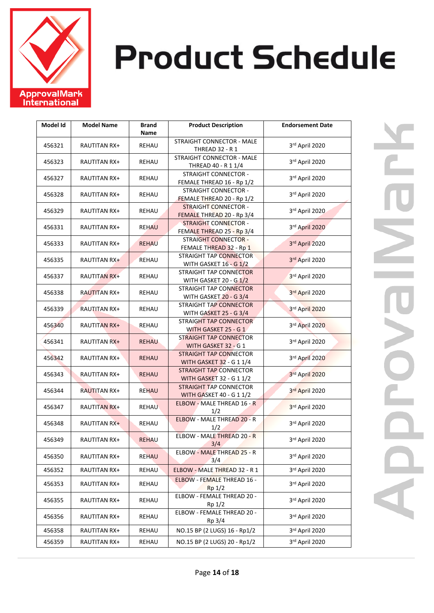

| Model Id | <b>Model Name</b>   | <b>Brand</b><br>Name | <b>Product Description</b>                                       | <b>Endorsement Date</b> |
|----------|---------------------|----------------------|------------------------------------------------------------------|-------------------------|
| 456321   | RAUTITAN RX+        | REHAU                | STRAIGHT CONNECTOR - MALE<br><b>THREAD 32 - R 1</b>              | 3rd April 2020          |
| 456323   | RAUTITAN RX+        | REHAU                | STRAIGHT CONNECTOR - MALE<br>THREAD 40 - R 1 1/4                 | 3rd April 2020          |
| 456327   | RAUTITAN RX+        | REHAU                | <b>STRAIGHT CONNECTOR -</b><br>FEMALE THREAD 16 - Rp 1/2         | 3rd April 2020          |
| 456328   | RAUTITAN RX+        | REHAU                | <b>STRAIGHT CONNECTOR -</b><br>FEMALE THREAD 20 - Rp 1/2         | 3rd April 2020          |
| 456329   | RAUTITAN RX+        | REHAU                | <b>STRAIGHT CONNECTOR -</b><br>FEMALE THREAD 20 - Rp 3/4         | 3rd April 2020          |
| 456331   | RAUTITAN RX+        | <b>REHAU</b>         | <b>STRAIGHT CONNECTOR -</b><br>FEMALE THREAD 25 - Rp 3/4         | 3rd April 2020          |
| 456333   | RAUTITAN RX+        | <b>REHAU</b>         | <b>STRAIGHT CONNECTOR -</b><br>FEMALE THREAD 32 - Rp 1           | 3rd April 2020          |
| 456335   | <b>RAUTITAN RX+</b> | <b>REHAU</b>         | STRAIGHT TAP CONNECTOR<br>WITH GASKET 16 - G 1/2                 | 3rd April 2020          |
| 456337   | <b>RAUTITAN RX+</b> | REHAU                | <b>STRAIGHT TAP CONNECTOR</b><br><b>WITH GASKET 20 - G 1/2</b>   | 3rd April 2020          |
| 456338   | <b>RAUTITAN RX+</b> | REHAU                | STRAIGHT TAP CONNECTOR<br>WITH GASKET 20 - G 3/4                 | 3rd April 2020          |
| 456339   | <b>RAUTITAN RX+</b> | REHAU                | <b>STRAIGHT TAP CONNECTOR</b><br>WITH GASKET 25 - G 3/4          | 3rd April 2020          |
| 456340   | <b>RAUTITAN RX+</b> | REHAU                | STRAIGHT TAP CONNECTOR<br>WITH GASKET 25 - G 1                   | 3rd April 2020          |
| 456341   | <b>RAUTITAN RX+</b> | <b>REHAU</b>         | <b>STRAIGHT TAP CONNECTOR</b><br>WITH GASKET 32 - G 1            | 3rd April 2020          |
| 456342   | RAUTITAN RX+        | <b>REHAU</b>         | <b>STRAIGHT TAP CONNECTOR</b><br><b>WITH GASKET 32 - G 1 1/4</b> | 3rd April 2020          |
| 456343   | RAUTITAN RX+        | <b>REHAU</b>         | <b>STRAIGHT TAP CONNECTOR</b><br><b>WITH GASKET 32 - G 1 1/2</b> | 3rd April 2020          |
| 456344   | <b>RAUTITAN RX+</b> | <b>REHAU</b>         | <b>STRAIGHT TAP CONNECTOR</b><br><b>WITH GASKET 40 - G 1 1/2</b> | 3rd April 2020          |
| 456347   | <b>RAUTITAN RX+</b> | <b>REHAU</b>         | ELBOW - MALE THREAD 16 - R<br>1/2                                | 3rd April 2020          |
| 456348   | <b>RAUTITAN RX+</b> | REHAU                | <b>ELBOW - MALE THREAD 20 - R</b><br>1/2                         | 3rd April 2020          |
| 456349   | <b>RAUTITAN RX+</b> | <b>REHAU</b>         | ELBOW - MALE THREAD 20 - R<br>3/4                                | 3rd April 2020          |
| 456350   | RAUTITAN RX+        | <b>REHAU</b>         | ELBOW - MALE THREAD 25 - R<br>3/4                                | 3rd April 2020          |
| 456352   | RAUTITAN RX+        | REHAU                | ELBOW - MALE THREAD 32 - R 1                                     | 3rd April 2020          |
| 456353   | RAUTITAN RX+        | REHAU                | ELBOW - FEMALE THREAD 16 -<br>Rp <sub>1</sub> /2                 | 3rd April 2020          |
| 456355   | RAUTITAN RX+        | REHAU                | ELBOW - FEMALE THREAD 20 -<br>Rp 1/2                             | 3rd April 2020          |
| 456356   | RAUTITAN RX+        | REHAU                | ELBOW - FEMALE THREAD 20 -<br>Rp 3/4                             | 3rd April 2020          |
| 456358   | RAUTITAN RX+        | REHAU                | NO.15 BP (2 LUGS) 16 - Rp1/2                                     | 3rd April 2020          |
| 456359   | RAUTITAN RX+        | REHAU                | NO.15 BP (2 LUGS) 20 - Rp1/2                                     | 3rd April 2020          |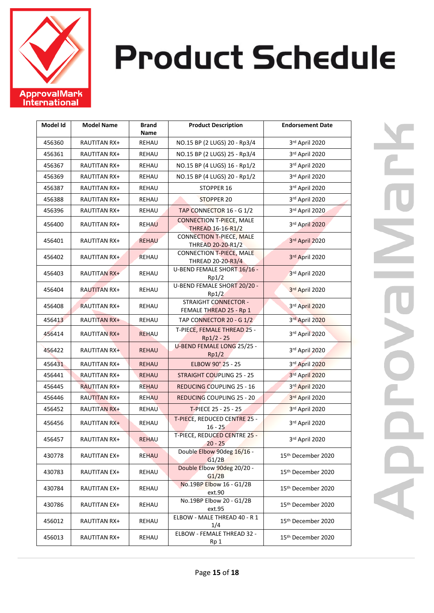

| Model Id | <b>Model Name</b>   | <b>Brand</b><br>Name | <b>Product Description</b>                                  | <b>Endorsement Date</b>        |
|----------|---------------------|----------------------|-------------------------------------------------------------|--------------------------------|
| 456360   | RAUTITAN RX+        | <b>REHAU</b>         | NO.15 BP (2 LUGS) 20 - Rp3/4                                | 3rd April 2020                 |
| 456361   | RAUTITAN RX+        | REHAU                | NO.15 BP (2 LUGS) 25 - Rp3/4                                | 3rd April 2020                 |
| 456367   | RAUTITAN RX+        | REHAU                | NO.15 BP (4 LUGS) 16 - Rp1/2                                | 3rd April 2020                 |
| 456369   | RAUTITAN RX+        | <b>REHAU</b>         | NO.15 BP (4 LUGS) 20 - Rp1/2                                | 3rd April 2020                 |
| 456387   | RAUTITAN RX+        | REHAU                | STOPPER 16                                                  | 3rd April 2020                 |
| 456388   | RAUTITAN RX+        | REHAU                | <b>STOPPER 20</b>                                           | 3rd April 2020                 |
| 456396   | <b>RAUTITAN RX+</b> | <b>REHAU</b>         | TAP CONNECTOR 16 - G 1/2                                    | 3rd April 2020                 |
| 456400   | RAUTITAN RX+        | <b>REHAU</b>         | <b>CONNECTION T-PIECE, MALE</b><br><b>THREAD 16-16-R1/2</b> | 3rd April 2020                 |
| 456401   | RAUTITAN RX+        | <b>REHAU</b>         | <b>CONNECTION T-PIECE, MALE</b><br>THREAD 20-20-R1/2        | 3rd April 2020                 |
| 456402   | RAUTITAN RX+        | <b>REHAU</b>         | <b>CONNECTION T-PIECE, MALE</b><br>THREAD 20-20-R3/4        | 3rd April 2020                 |
| 456403   | <b>RAUTITAN RX+</b> | REHAU                | U-BEND FEMALE SHORT 16/16 -<br>Rp1/2                        | 3rd April 2020                 |
| 456404   | <b>RAUTITAN RX+</b> | <b>REHAU</b>         | U-BEND FEMALE SHORT 20/20 -<br>Rp1/2                        | 3rd April 2020                 |
| 456408   | <b>RAUTITAN RX+</b> | <b>REHAU</b>         | <b>STRAIGHT CONNECTOR -</b><br>FEMALE THREAD 25 - Rp 1      | 3rd April 2020                 |
| 456413   | <b>RAUTITAN RX+</b> | REHAU                | TAP CONNECTOR 20 - G 1/2                                    | 3rd April 2020                 |
| 456414   | RAUTITAN RX+        | <b>REHAU</b>         | T-PIECE, FEMALE THREAD 25 -<br>$Rp1/2 - 25$                 | 3rd April 2020                 |
| 456422   | RAUTITAN RX+        | <b>REHAU</b>         | U-BEND FEMALE LONG 25/25 -<br>Rp1/2                         | 3rd April 2020                 |
| 456431   | RAUTITAN RX+        | <b>REHAU</b>         | ELBOW 90° 25 - 25                                           | 3rd April 2020                 |
| 456441   | RAUTITAN RX+        | <b>REHAU</b>         | <b>STRAIGHT COUPLING 25 - 25</b>                            | 3rd April 2020                 |
| 456445   | <b>RAUTITAN RX+</b> | <b>REHAU</b>         | <b>REDUCING COUPLING 25 - 16</b>                            | 3rd April 2020                 |
| 456446   | <b>RAUTITAN RX+</b> | <b>REHAU</b>         | REDUCING COUPLING 25 - 20                                   | 3rd April 2020                 |
| 456452   | <b>RAUTITAN RX+</b> | <b>REHAU</b>         | T-PIECE 25 - 25 - 25                                        | 3rd April 2020                 |
| 456456   | RAUTITAN RX+        | REHAU                | T-PIECE, REDUCED CENTRE 25 -<br>$16 - 25$                   | 3rd April 2020                 |
| 456457   | <b>RAUTITAN RX+</b> | <b>REHAU</b>         | T-PIECE, REDUCED CENTRE 25 -<br>$20 - 25$                   | 3rd April 2020                 |
| 430778   | RAUTITAN EX+        | <b>REHAU</b>         | Double Elbow 90deg 16/16 -<br>G1/2B                         | 15th December 2020             |
| 430783   | RAUTITAN EX+        | REHAU                | Double Elbow 90deg 20/20 -<br>G1/2B                         | 15 <sup>th</sup> December 2020 |
| 430784   | RAUTITAN EX+        | REHAU                | No.19BP Elbow 16 - G1/2B<br>ext.90                          | 15 <sup>th</sup> December 2020 |
| 430786   | RAUTITAN EX+        | REHAU                | No.19BP Elbow 20 - G1/2B<br>ext.95                          | 15 <sup>th</sup> December 2020 |
| 456012   | RAUTITAN RX+        | REHAU                | ELBOW - MALE THREAD 40 - R 1<br>1/4                         | 15 <sup>th</sup> December 2020 |
| 456013   | <b>RAUTITAN RX+</b> | REHAU                | ELBOW - FEMALE THREAD 32 -<br>Rp 1                          | 15 <sup>th</sup> December 2020 |
|          |                     |                      |                                                             |                                |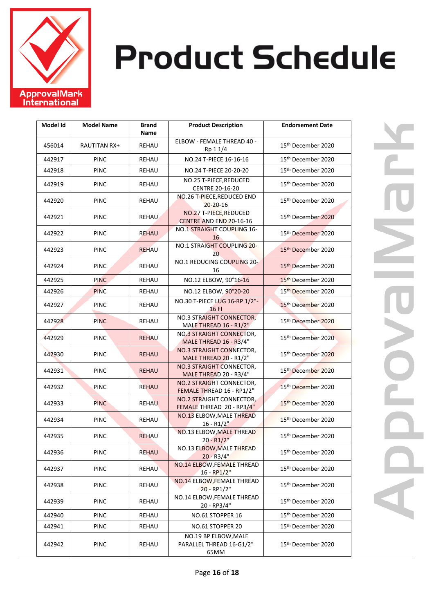

| Model Id | <b>Model Name</b>   | <b>Brand</b><br>Name | <b>Product Description</b>                                   | <b>Endorsement Date</b>        |
|----------|---------------------|----------------------|--------------------------------------------------------------|--------------------------------|
| 456014   | <b>RAUTITAN RX+</b> | REHAU                | ELBOW - FEMALE THREAD 40 -<br>Rp 1 1/4                       | 15th December 2020             |
| 442917   | <b>PINC</b>         | REHAU                | NO.24 T-PIECE 16-16-16                                       | 15 <sup>th</sup> December 2020 |
| 442918   | <b>PINC</b>         | <b>REHAU</b>         | NO.24 T-PIECE 20-20-20                                       | 15 <sup>th</sup> December 2020 |
| 442919   | <b>PINC</b>         | REHAU                | NO.25 T-PIECE, REDUCED<br>CENTRE 20-16-20                    | 15th December 2020             |
| 442920   | <b>PINC</b>         | REHAU                | NO.26 T-PIECE, REDUCED END<br>$20 - 20 - 16$                 | 15th December 2020             |
| 442921   | <b>PINC</b>         | <b>REHAU</b>         | NO.27 T-PIECE, REDUCED<br>CENTRE AND END 20-16-16            | 15th December 2020             |
| 442922   | <b>PINC</b>         | <b>REHAU</b>         | NO.1 STRAIGHT COUPLING 16-<br>16                             | 15th December 2020             |
| 442923   | <b>PINC</b>         | <b>REHAU</b>         | NO.1 STRAIGHT COUPLING 20-<br>20                             | 15th December 2020             |
| 442924   | <b>PINC</b>         | <b>REHAU</b>         | NO.1 REDUCING COUPLING 20-<br>16                             | 15th December 2020             |
| 442925   | <b>PINC</b>         | REHAU                | NO.12 ELBOW, 90°16-16                                        | 15th December 2020             |
| 442926   | <b>PINC</b>         | REHAU                | NO.12 ELBOW, 90°20-20                                        | 15 <sup>th</sup> December 2020 |
| 442927   | <b>PINC</b>         | REHAU                | NO.30 T-PIECE LUG 16-RP 1/2"-<br><b>16 FI</b>                | 15th December 2020             |
| 442928   | <b>PINC</b>         | REHAU                | <b>NO.3 STRAIGHT CONNECTOR,</b><br>MALE THREAD 16 - R1/2"    | 15th December 2020             |
| 442929   | <b>PINC</b>         | <b>REHAU</b>         | NO.3 STRAIGHT CONNECTOR,<br>MALE THREAD 16 - R3/4"           | 15th December 2020             |
| 442930   | <b>PINC</b>         | <b>REHAU</b>         | <b>NO.3 STRAIGHT CONNECTOR,</b><br>MALE THREAD 20 - R1/2"    | 15th December 2020             |
| 442931   | <b>PINC</b>         | <b>REHAU</b>         | NO.3 STRAIGHT CONNECTOR,<br>MALE THREAD 20 - R3/4"           | 15th December 2020             |
| 442932   | <b>PINC</b>         | <b>REHAU</b>         | <b>NO.2 STRAIGHT CONNECTOR,</b><br>FEMALE THREAD 16 - RP1/2" | 15 <sup>th</sup> December 2020 |
| 442933   | <b>PINC</b>         | <b>REHAU</b>         | NO.2 STRAIGHT CONNECTOR,<br>FEMALE THREAD 20 - RP3/4"        | 15 <sup>th</sup> December 2020 |
| 442934   | <b>PINC</b>         | REHAU                | NO.13 ELBOW, MALE THREAD<br>$16 - R1/2"$                     | 15th December 2020             |
| 442935   | <b>PINC</b>         | <b>REHAU</b>         | NO.13 ELBOW, MALE THREAD<br>$20 - R1/2"$                     | 15th December 2020             |
| 442936   | <b>PINC</b>         | <b>REHAU</b>         | NO.13 ELBOW, MALE THREAD<br>$20 - R3/4"$                     | 15th December 2020             |
| 442937   | <b>PINC</b>         | <b>REHAU</b>         | NO.14 ELBOW, FEMALE THREAD<br>$16 - \frac{RP1}{2}$           | 15th December 2020             |
| 442938   | <b>PINC</b>         | REHAU                | NO.14 ELBOW, FEMALE THREAD<br>20 - RP1/2"                    | 15th December 2020             |
| 442939   | <b>PINC</b>         | REHAU                | NO.14 ELBOW, FEMALE THREAD<br>20 - RP3/4"                    | 15 <sup>th</sup> December 2020 |
| 442940   | <b>PINC</b>         | REHAU                | NO.61 STOPPER 16                                             | 15th December 2020             |
| 442941   | <b>PINC</b>         | <b>REHAU</b>         | NO.61 STOPPER 20                                             | 15 <sup>th</sup> December 2020 |
| 442942   | <b>PINC</b>         | REHAU                | NO.19 BP ELBOW, MALE<br>PARALLEL THREAD 16-G1/2"<br>65MM     | 15 <sup>th</sup> December 2020 |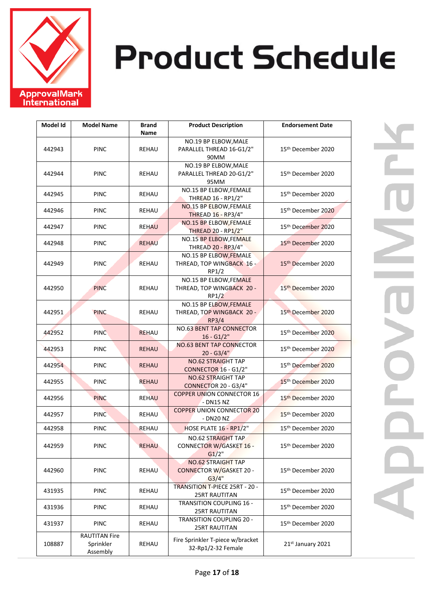

| Model Id | <b>Model Name</b>                             | <b>Brand</b><br>Name | <b>Product Description</b>                                           | <b>Endorsement Date</b>        |
|----------|-----------------------------------------------|----------------------|----------------------------------------------------------------------|--------------------------------|
| 442943   | <b>PINC</b>                                   | <b>REHAU</b>         | NO.19 BP ELBOW, MALE<br>PARALLEL THREAD 16-G1/2"<br>90MM             | 15th December 2020             |
| 442944   | <b>PINC</b>                                   | REHAU                | NO.19 BP ELBOW, MALE<br>PARALLEL THREAD 20-G1/2"<br>95MM             | 15th December 2020             |
| 442945   | <b>PINC</b>                                   | REHAU                | NO.15 BP ELBOW, FEMALE<br>THREAD 16 - RP1/2"                         | 15th December 2020             |
| 442946   | <b>PINC</b>                                   | <b>REHAU</b>         | NO.15 BP ELBOW, FEMALE<br><b>THREAD 16 - RP3/4"</b>                  | 15 <sup>th</sup> December 2020 |
| 442947   | <b>PINC</b>                                   | <b>REHAU</b>         | NO.15 BP ELBOW, FEMALE<br><b>THREAD 20 - RP1/2"</b>                  | 15th December 2020             |
| 442948   | <b>PINC</b>                                   | <b>REHAU</b>         | NO.15 BP ELBOW, FEMALE<br><b>THREAD 20 - RP3/4"</b>                  | 15th December 2020             |
| 442949   | <b>PINC</b>                                   | REHAU                | NO.15 BP ELBOW, FEMALE<br>THREAD, TOP WINGBACK 16 -<br>RP1/2         | 15th December 2020             |
| 442950   | <b>PINC</b>                                   | REHAU                | NO.15 BP ELBOW, FEMALE<br>THREAD, TOP WINGBACK 20 -<br>RP1/2         | 15 <sup>th</sup> December 2020 |
| 442951   | <b>PINC</b>                                   | REHAU                | NO.15 BP ELBOW, FEMALE<br>THREAD, TOP WINGBACK 20 -<br>RP3/4         | 15th December 2020             |
| 442952   | <b>PINC</b>                                   | <b>REHAU</b>         | <b>NO.63 BENT TAP CONNECTOR</b><br>$16 - G1/2"$                      | 15th December 2020             |
| 442953   | <b>PINC</b>                                   | <b>REHAU</b>         | <b>NO.63 BENT TAP CONNECTOR</b><br>$20 - G3/4"$                      | 15th December 2020             |
| 442954   | <b>PINC</b>                                   | <b>REHAU</b>         | <b>NO.62 STRAIGHT TAP</b><br>CONNECTOR 16 - G1/2"                    | 15th December 2020             |
| 442955   | <b>PINC</b>                                   | <b>REHAU</b>         | <b>NO.62 STRAIGHT TAP</b><br>CONNECTOR 20 - G3/4"                    | 15th December 2020             |
| 442956   | <b>PINC</b>                                   | <b>REHAU</b>         | <b>COPPER UNION CONNECTOR 16</b><br>- DN15 NZ                        | 15 <sup>th</sup> December 2020 |
| 442957   | <b>PINC</b>                                   | <b>REHAU</b>         | <b>COPPER UNION CONNECTOR 20</b><br>- DN20 NZ                        | 15 <sup>th</sup> December 2020 |
| 442958   | <b>PINC</b>                                   | <b>REHAU</b>         | <b>HOSE PLATE 16 - RP1/2"</b>                                        | 15 <sup>th</sup> December 2020 |
| 442959   | <b>PINC</b>                                   | <b>REHAU</b>         | <b>NO.62 STRAIGHT TAP</b><br><b>CONNECTOR W/GASKET 16 -</b><br>G1/2" | 15th December 2020             |
| 442960   | <b>PINC</b>                                   | REHAU                | <b>NO.62 STRAIGHT TAP</b><br><b>CONNECTOR W/GASKET 20 -</b><br>G3/4" | 15th December 2020             |
| 431935   | <b>PINC</b>                                   | REHAU                | TRANSITION T-PIECE 25RT - 20 -<br><b>25RT RAUTITAN</b>               | 15th December 2020             |
| 431936   | <b>PINC</b>                                   | REHAU                | <b>TRANSITION COUPLING 16 -</b><br><b>25RT RAUTITAN</b>              | 15th December 2020             |
| 431937   | <b>PINC</b>                                   | REHAU                | <b>TRANSITION COUPLING 20 -</b><br><b>25RT RAUTITAN</b>              | 15th December 2020             |
| 108887   | <b>RAUTITAN Fire</b><br>Sprinkler<br>Assembly | REHAU                | Fire Sprinkler T-piece w/bracket<br>32-Rp1/2-32 Female               | 21st January 2021              |